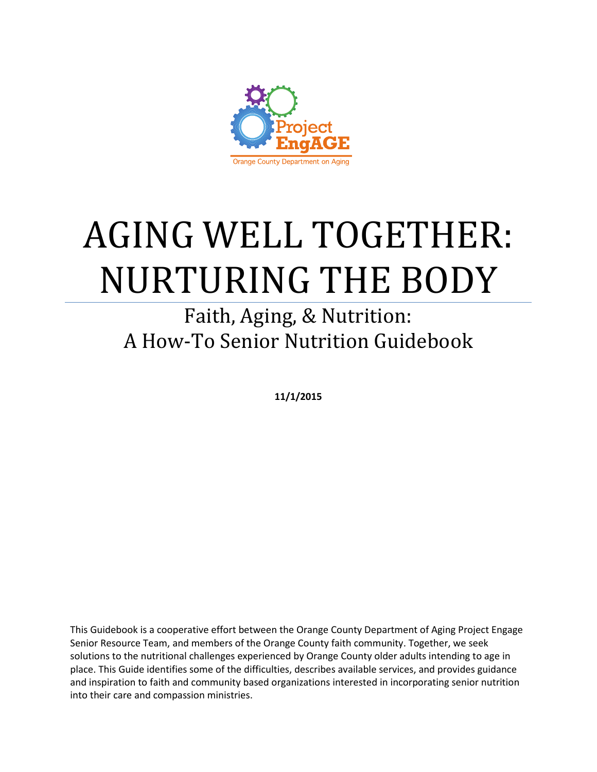

# AGING WELL TOGETHER: NURTURING THE BODY

## Faith, Aging, & Nutrition: A How-To Senior Nutrition Guidebook

**11/1/2015**

This Guidebook is a cooperative effort between the Orange County Department of Aging Project Engage Senior Resource Team, and members of the Orange County faith community. Together, we seek solutions to the nutritional challenges experienced by Orange County older adults intending to age in place. This Guide identifies some of the difficulties, describes available services, and provides guidance and inspiration to faith and community based organizations interested in incorporating senior nutrition into their care and compassion ministries.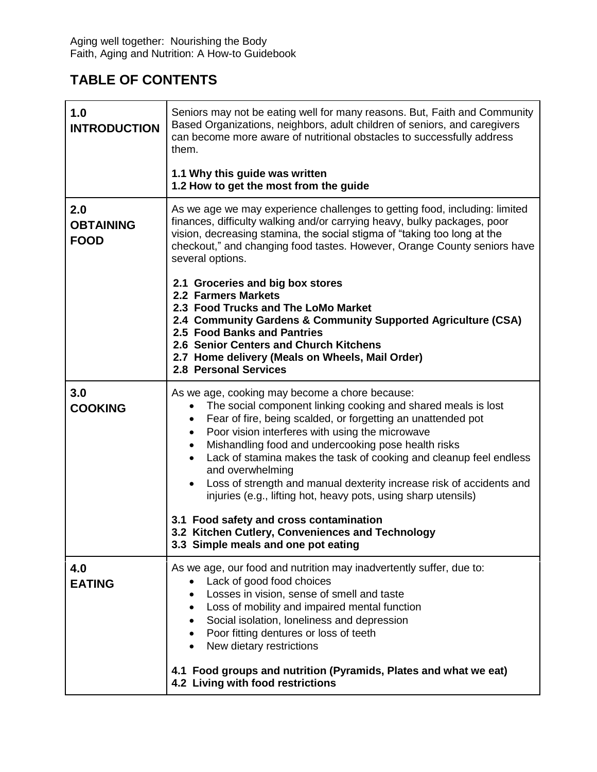## **TABLE OF CONTENTS**

| 1.0<br><b>INTRODUCTION</b>             | Seniors may not be eating well for many reasons. But, Faith and Community<br>Based Organizations, neighbors, adult children of seniors, and caregivers<br>can become more aware of nutritional obstacles to successfully address<br>them.                                                                                                                                                                                                                                                                                                                                                                                                                                             |
|----------------------------------------|---------------------------------------------------------------------------------------------------------------------------------------------------------------------------------------------------------------------------------------------------------------------------------------------------------------------------------------------------------------------------------------------------------------------------------------------------------------------------------------------------------------------------------------------------------------------------------------------------------------------------------------------------------------------------------------|
|                                        | 1.1 Why this guide was written<br>1.2 How to get the most from the guide                                                                                                                                                                                                                                                                                                                                                                                                                                                                                                                                                                                                              |
| 2.0<br><b>OBTAINING</b><br><b>FOOD</b> | As we age we may experience challenges to getting food, including: limited<br>finances, difficulty walking and/or carrying heavy, bulky packages, poor<br>vision, decreasing stamina, the social stigma of "taking too long at the<br>checkout," and changing food tastes. However, Orange County seniors have<br>several options.                                                                                                                                                                                                                                                                                                                                                    |
|                                        | 2.1 Groceries and big box stores<br>2.2 Farmers Markets<br>2.3 Food Trucks and The LoMo Market<br>2.4 Community Gardens & Community Supported Agriculture (CSA)<br>2.5 Food Banks and Pantries<br>2.6 Senior Centers and Church Kitchens<br>2.7 Home delivery (Meals on Wheels, Mail Order)<br><b>2.8 Personal Services</b>                                                                                                                                                                                                                                                                                                                                                           |
| 3.0<br><b>COOKING</b>                  | As we age, cooking may become a chore because:<br>The social component linking cooking and shared meals is lost<br>Fear of fire, being scalded, or forgetting an unattended pot<br>٠<br>Poor vision interferes with using the microwave<br>$\bullet$<br>Mishandling food and undercooking pose health risks<br>Lack of stamina makes the task of cooking and cleanup feel endless<br>and overwhelming<br>Loss of strength and manual dexterity increase risk of accidents and<br>injuries (e.g., lifting hot, heavy pots, using sharp utensils)<br>3.1 Food safety and cross contamination<br>3.2 Kitchen Cutlery, Conveniences and Technology<br>3.3 Simple meals and one pot eating |
| 4.0<br><b>EATING</b>                   | As we age, our food and nutrition may inadvertently suffer, due to:<br>Lack of good food choices<br>Losses in vision, sense of smell and taste<br>Loss of mobility and impaired mental function<br>Social isolation, loneliness and depression<br>Poor fitting dentures or loss of teeth<br>New dietary restrictions<br>4.1 Food groups and nutrition (Pyramids, Plates and what we eat)<br>4.2 Living with food restrictions                                                                                                                                                                                                                                                         |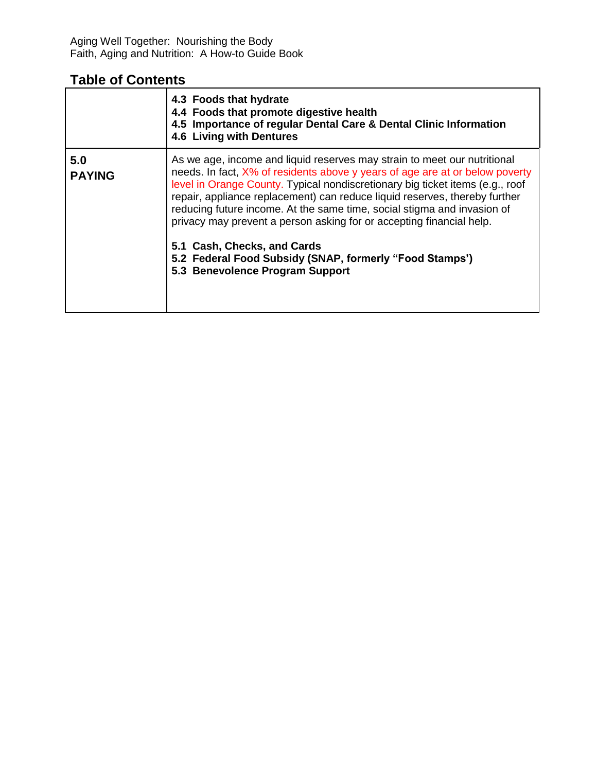#### **Table of Contents**

|                      | 4.3 Foods that hydrate<br>4.4 Foods that promote digestive health<br>4.5 Importance of regular Dental Care & Dental Clinic Information<br>4.6 Living with Dentures                                                                                                                                                                                                                                                                                                                                                                                                                                      |
|----------------------|---------------------------------------------------------------------------------------------------------------------------------------------------------------------------------------------------------------------------------------------------------------------------------------------------------------------------------------------------------------------------------------------------------------------------------------------------------------------------------------------------------------------------------------------------------------------------------------------------------|
| 5.0<br><b>PAYING</b> | As we age, income and liquid reserves may strain to meet our nutritional<br>needs. In fact, X% of residents above y years of age are at or below poverty<br>level in Orange County. Typical nondiscretionary big ticket items (e.g., roof<br>repair, appliance replacement) can reduce liquid reserves, thereby further<br>reducing future income. At the same time, social stigma and invasion of<br>privacy may prevent a person asking for or accepting financial help.<br>5.1 Cash, Checks, and Cards<br>5.2 Federal Food Subsidy (SNAP, formerly "Food Stamps")<br>5.3 Benevolence Program Support |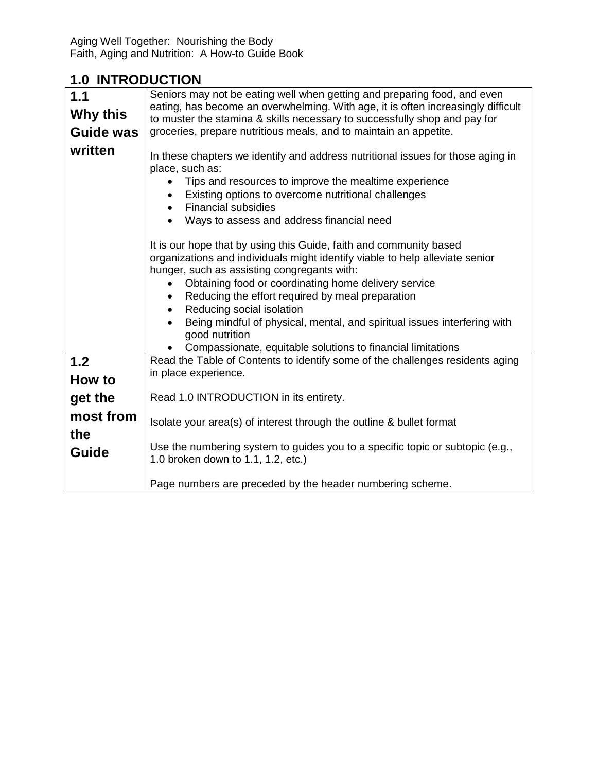#### **1.0 INTRODUCTION**

| 1.1                       | Seniors may not be eating well when getting and preparing food, and even                                                                                                                                                                                                                                                                                                                                                                                                                                |
|---------------------------|---------------------------------------------------------------------------------------------------------------------------------------------------------------------------------------------------------------------------------------------------------------------------------------------------------------------------------------------------------------------------------------------------------------------------------------------------------------------------------------------------------|
| Why this                  | eating, has become an overwhelming. With age, it is often increasingly difficult<br>to muster the stamina & skills necessary to successfully shop and pay for                                                                                                                                                                                                                                                                                                                                           |
| <b>Guide was</b>          | groceries, prepare nutritious meals, and to maintain an appetite.                                                                                                                                                                                                                                                                                                                                                                                                                                       |
| written                   | In these chapters we identify and address nutritional issues for those aging in<br>place, such as:<br>Tips and resources to improve the mealtime experience<br>Existing options to overcome nutritional challenges<br><b>Financial subsidies</b><br>$\bullet$<br>Ways to assess and address financial need                                                                                                                                                                                              |
|                           | It is our hope that by using this Guide, faith and community based<br>organizations and individuals might identify viable to help alleviate senior<br>hunger, such as assisting congregants with:<br>Obtaining food or coordinating home delivery service<br>Reducing the effort required by meal preparation<br>Reducing social isolation<br>Being mindful of physical, mental, and spiritual issues interfering with<br>good nutrition<br>Compassionate, equitable solutions to financial limitations |
| 1.2                       | Read the Table of Contents to identify some of the challenges residents aging                                                                                                                                                                                                                                                                                                                                                                                                                           |
| How to                    | in place experience.                                                                                                                                                                                                                                                                                                                                                                                                                                                                                    |
| get the                   | Read 1.0 INTRODUCTION in its entirety.                                                                                                                                                                                                                                                                                                                                                                                                                                                                  |
| most from<br>the<br>Guide | Isolate your area(s) of interest through the outline & bullet format<br>Use the numbering system to guides you to a specific topic or subtopic (e.g.,<br>1.0 broken down to 1.1, 1.2, etc.)                                                                                                                                                                                                                                                                                                             |
|                           | Page numbers are preceded by the header numbering scheme.                                                                                                                                                                                                                                                                                                                                                                                                                                               |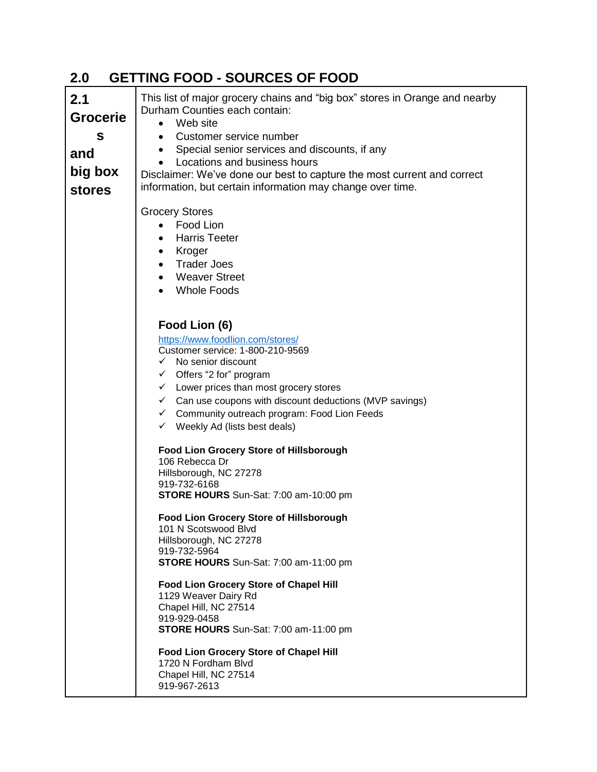| 2.1<br><b>Grocerie</b><br>S<br>and<br>big box<br><b>stores</b> | This list of major grocery chains and "big box" stores in Orange and nearby<br>Durham Counties each contain:<br>Web site<br>$\bullet$<br>Customer service number<br>$\bullet$<br>Special senior services and discounts, if any<br>$\bullet$<br>Locations and business hours<br>Disclaimer: We've done our best to capture the most current and correct<br>information, but certain information may change over time.                                                                                                                              |
|----------------------------------------------------------------|---------------------------------------------------------------------------------------------------------------------------------------------------------------------------------------------------------------------------------------------------------------------------------------------------------------------------------------------------------------------------------------------------------------------------------------------------------------------------------------------------------------------------------------------------|
|                                                                | <b>Grocery Stores</b><br>Food Lion<br>$\bullet$<br><b>Harris Teeter</b><br>$\bullet$<br>Kroger<br>$\bullet$<br><b>Trader Joes</b><br>$\bullet$<br><b>Weaver Street</b><br>$\bullet$<br><b>Whole Foods</b>                                                                                                                                                                                                                                                                                                                                         |
|                                                                | Food Lion (6)<br>https://www.foodlion.com/stores/<br>Customer service: 1-800-210-9569<br>$\checkmark$ No senior discount<br>$\checkmark$ Offers "2 for" program<br>$\checkmark$ Lower prices than most grocery stores<br>$\checkmark$ Can use coupons with discount deductions (MVP savings)<br>← Community outreach program: Food Lion Feeds<br>$\checkmark$ Weekly Ad (lists best deals)<br><b>Food Lion Grocery Store of Hillsborough</b><br>106 Rebecca Dr<br>Hillsborough, NC 27278<br>919-732-6168<br>STORE HOURS Sun-Sat: 7:00 am-10:00 pm |
|                                                                | Food Lion Grocery Store of Hillsborough<br>101 N Scotswood Blvd<br>Hillsborough, NC 27278<br>919-732-5964<br>STORE HOURS Sun-Sat: 7:00 am-11:00 pm<br>Food Lion Grocery Store of Chapel Hill<br>1129 Weaver Dairy Rd<br>Chapel Hill, NC 27514<br>919-929-0458<br>STORE HOURS Sun-Sat: 7:00 am-11:00 pm<br>Food Lion Grocery Store of Chapel Hill<br>1720 N Fordham Blvd<br>Chapel Hill, NC 27514<br>919-967-2613                                                                                                                                  |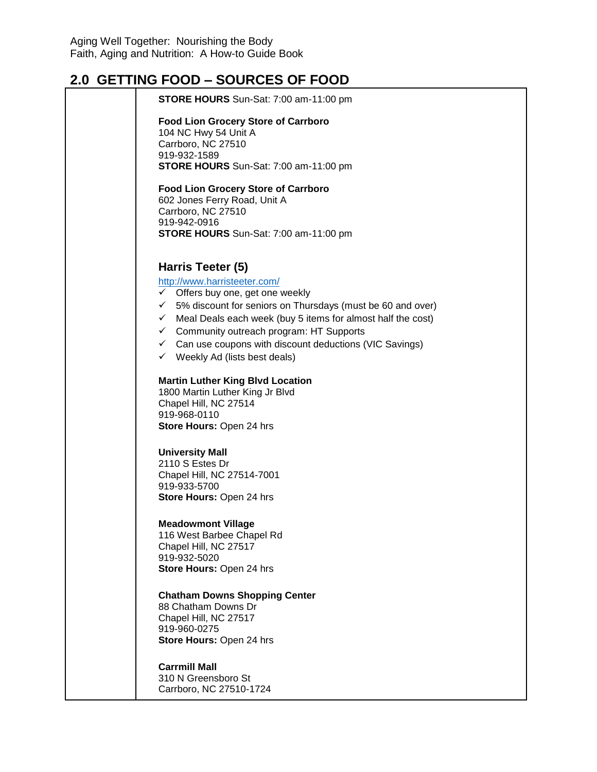| <u>2.0 GETTING FOOD – SOUNCES OF FOOD</u>                                |
|--------------------------------------------------------------------------|
| <b>STORE HOURS</b> Sun-Sat: 7:00 am-11:00 pm                             |
| <b>Food Lion Grocery Store of Carrboro</b>                               |
| 104 NC Hwy 54 Unit A                                                     |
| Carrboro, NC 27510                                                       |
| 919-932-1589                                                             |
| <b>STORE HOURS</b> Sun-Sat: 7:00 am-11:00 pm                             |
| <b>Food Lion Grocery Store of Carrboro</b>                               |
| 602 Jones Ferry Road, Unit A                                             |
| Carrboro, NC 27510                                                       |
| 919-942-0916                                                             |
| <b>STORE HOURS</b> Sun-Sat: 7:00 am-11:00 pm                             |
| Harris Teeter (5)                                                        |
| http://www.harristeeter.com/                                             |
| $\checkmark$ Offers buy one, get one weekly                              |
| $\checkmark$ 5% discount for seniors on Thursdays (must be 60 and over)  |
| $\checkmark$ Meal Deals each week (buy 5 items for almost half the cost) |
|                                                                          |
| $\checkmark$ Community outreach program: HT Supports                     |
| $\checkmark$ Can use coupons with discount deductions (VIC Savings)      |
| $\checkmark$ Weekly Ad (lists best deals)                                |
| <b>Martin Luther King Blvd Location</b>                                  |
| 1800 Martin Luther King Jr Blvd                                          |
| Chapel Hill, NC 27514                                                    |
| 919-968-0110                                                             |
| Store Hours: Open 24 hrs                                                 |
| <b>University Mall</b>                                                   |
| 2110 S Estes Dr                                                          |
| Chapel Hill, NC 27514-7001                                               |
| 919-933-5700                                                             |
| Store Hours: Open 24 hrs                                                 |
| <b>Meadowmont Village</b>                                                |
| 116 West Barbee Chapel Rd                                                |
| Chapel Hill, NC 27517                                                    |
| 919-932-5020                                                             |
| Store Hours: Open 24 hrs                                                 |
| <b>Chatham Downs Shopping Center</b>                                     |
| 88 Chatham Downs Dr                                                      |
| Chapel Hill, NC 27517                                                    |
| 919-960-0275                                                             |
| Store Hours: Open 24 hrs                                                 |
| <b>Carrmill Mall</b>                                                     |
| 310 N Greensboro St                                                      |
| Carrboro, NC 27510-1724                                                  |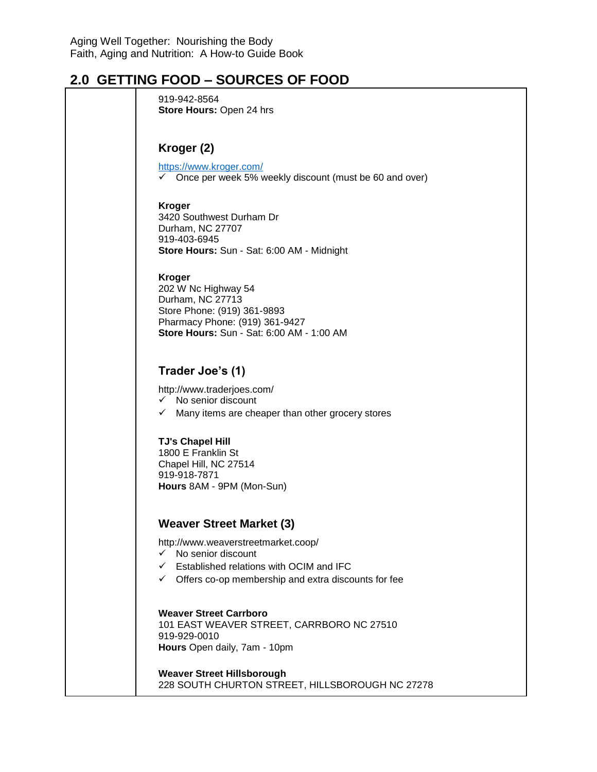| 919-942-8564<br>Store Hours: Open 24 hrs                                                                                                                                      |
|-------------------------------------------------------------------------------------------------------------------------------------------------------------------------------|
| Kroger (2)<br>https://www.kroger.com/<br>Once per week 5% weekly discount (must be 60 and over)<br>$\checkmark$                                                               |
| <b>Kroger</b><br>3420 Southwest Durham Dr<br>Durham, NC 27707<br>919-403-6945<br>Store Hours: Sun - Sat: 6:00 AM - Midnight                                                   |
| <b>Kroger</b><br>202 W Nc Highway 54<br>Durham, NC 27713<br>Store Phone: (919) 361-9893<br>Pharmacy Phone: (919) 361-9427<br><b>Store Hours: Sun - Sat: 6:00 AM - 1:00 AM</b> |
| Trader Joe's (1)<br>http://www.traderjoes.com/<br>$\checkmark$ No senior discount<br>Many items are cheaper than other grocery stores<br>$\checkmark$                         |
| <b>TJ's Chapel Hill</b><br>1800 E Franklin St<br>Chapel Hill, NC 27514<br>919-918-7871<br>Hours 8AM - 9PM (Mon-Sun)                                                           |
| <b>Weaver Street Market (3)</b><br>http://www.weaverstreetmarket.coop/                                                                                                        |
| $\checkmark$ No senior discount<br>$\checkmark$ Established relations with OCIM and IFC<br>$\checkmark$ Offers co-op membership and extra discounts for fee                   |
| <b>Weaver Street Carrboro</b><br>101 EAST WEAVER STREET, CARRBORO NC 27510<br>919-929-0010<br>Hours Open daily, 7am - 10pm                                                    |
| <b>Weaver Street Hillsborough</b><br>228 SOUTH CHURTON STREET, HILLSBOROUGH NC 27278                                                                                          |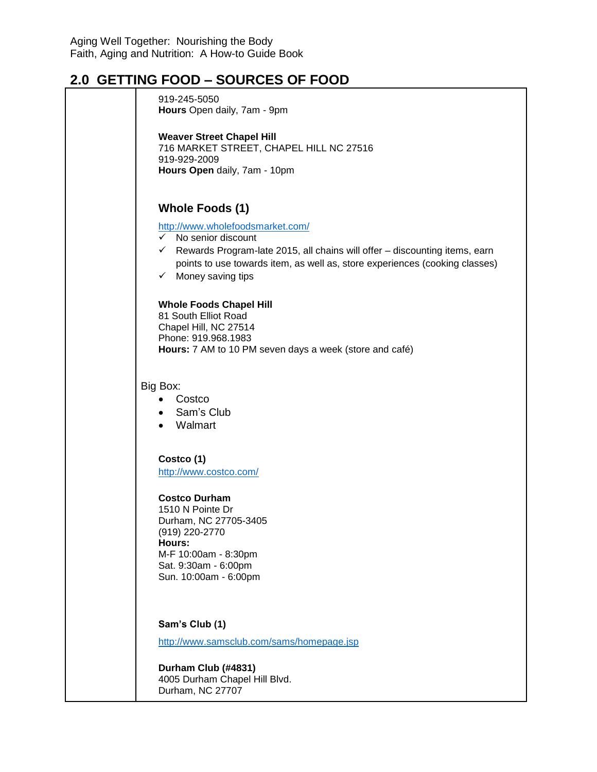| 919-245-5050<br>Hours Open daily, 7am - 9pm                                                                                                                                                                                                                                        |
|------------------------------------------------------------------------------------------------------------------------------------------------------------------------------------------------------------------------------------------------------------------------------------|
| <b>Weaver Street Chapel Hill</b><br>716 MARKET STREET, CHAPEL HILL NC 27516<br>919-929-2009<br>Hours Open daily, 7am - 10pm                                                                                                                                                        |
| <b>Whole Foods (1)</b>                                                                                                                                                                                                                                                             |
| http://www.wholefoodsmarket.com/<br>No senior discount<br>$\checkmark$<br>$\checkmark$ Rewards Program-late 2015, all chains will offer – discounting items, earn<br>points to use towards item, as well as, store experiences (cooking classes)<br>$\checkmark$ Money saving tips |
| <b>Whole Foods Chapel Hill</b><br>81 South Elliot Road<br>Chapel Hill, NC 27514<br>Phone: 919.968.1983<br>Hours: 7 AM to 10 PM seven days a week (store and café)                                                                                                                  |
| Big Box:<br>Costco<br>Sam's Club<br>$\bullet$<br>Walmart                                                                                                                                                                                                                           |
| Costco (1)<br>http://www.costco.com/                                                                                                                                                                                                                                               |
| <b>Costco Durham</b><br>1510 N Pointe Dr<br>Durham, NC 27705-3405<br>(919) 220-2770<br>Hours:<br>M-F 10:00am - 8:30pm<br>Sat. 9:30am - 6:00pm<br>Sun. 10:00am - 6:00pm                                                                                                             |
| Sam's Club (1)<br>http://www.samsclub.com/sams/homepage.jsp                                                                                                                                                                                                                        |
| Durham Club (#4831)<br>4005 Durham Chapel Hill Blvd.                                                                                                                                                                                                                               |

Durham, NC 27707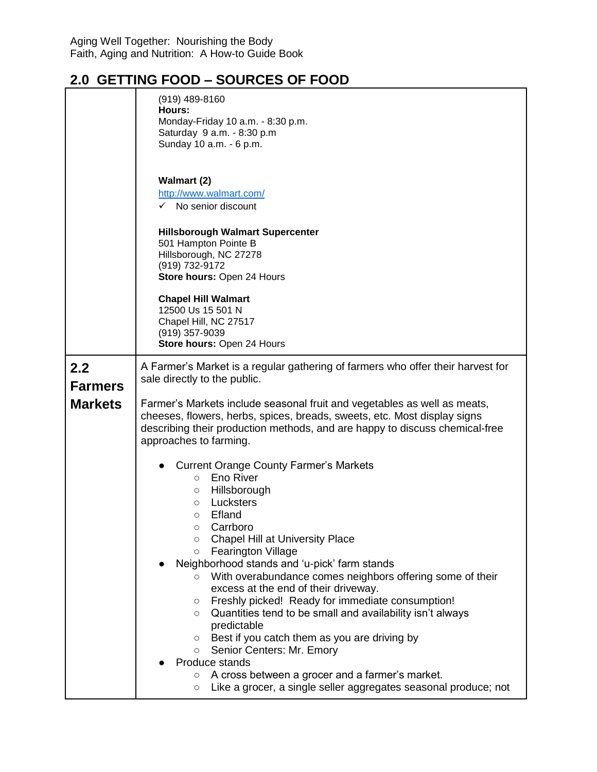|                       | $(919)$ 489-8160<br>Hours:<br>Monday-Friday 10 a.m. - 8:30 p.m.<br>Saturday 9 a.m. - 8:30 p.m<br>Sunday 10 a.m. - 6 p.m.                                                                                                                                                                                                                                                                                                                                                                                                                                                                                                                                                                                                                                                                                             |
|-----------------------|----------------------------------------------------------------------------------------------------------------------------------------------------------------------------------------------------------------------------------------------------------------------------------------------------------------------------------------------------------------------------------------------------------------------------------------------------------------------------------------------------------------------------------------------------------------------------------------------------------------------------------------------------------------------------------------------------------------------------------------------------------------------------------------------------------------------|
|                       | <b>Walmart (2)</b><br>http://www.walmart.com/<br>$\checkmark$ No senior discount                                                                                                                                                                                                                                                                                                                                                                                                                                                                                                                                                                                                                                                                                                                                     |
|                       | <b>Hillsborough Walmart Supercenter</b><br>501 Hampton Pointe B<br>Hillsborough, NC 27278<br>(919) 732-9172<br>Store hours: Open 24 Hours                                                                                                                                                                                                                                                                                                                                                                                                                                                                                                                                                                                                                                                                            |
|                       | <b>Chapel Hill Walmart</b><br>12500 Us 15 501 N<br>Chapel Hill, NC 27517<br>(919) 357-9039<br>Store hours: Open 24 Hours                                                                                                                                                                                                                                                                                                                                                                                                                                                                                                                                                                                                                                                                                             |
| 2.2<br><b>Farmers</b> | A Farmer's Market is a regular gathering of farmers who offer their harvest for<br>sale directly to the public.                                                                                                                                                                                                                                                                                                                                                                                                                                                                                                                                                                                                                                                                                                      |
| <b>Markets</b>        | Farmer's Markets include seasonal fruit and vegetables as well as meats,<br>cheeses, flowers, herbs, spices, breads, sweets, etc. Most display signs<br>describing their production methods, and are happy to discuss chemical-free<br>approaches to farming.                                                                                                                                                                                                                                                                                                                                                                                                                                                                                                                                                        |
|                       | <b>Current Orange County Farmer's Markets</b><br>Eno River<br>$\circ$<br>Hillsborough<br>О<br>Lucksters<br>$\circ$<br>Efland<br>O<br>Carrboro<br><b>Chapel Hill at University Place</b><br>$\circ$<br>Fearington Village<br>$\circ$<br>Neighborhood stands and 'u-pick' farm stands<br>With overabundance comes neighbors offering some of their<br>$\circ$<br>excess at the end of their driveway.<br>Freshly picked! Ready for immediate consumption!<br>О<br>Quantities tend to be small and availability isn't always<br>$\circ$<br>predictable<br>Best if you catch them as you are driving by<br>$\circ$<br>Senior Centers: Mr. Emory<br>$\circ$<br>Produce stands<br>A cross between a grocer and a farmer's market.<br>$\circ$<br>Like a grocer, a single seller aggregates seasonal produce; not<br>$\circ$ |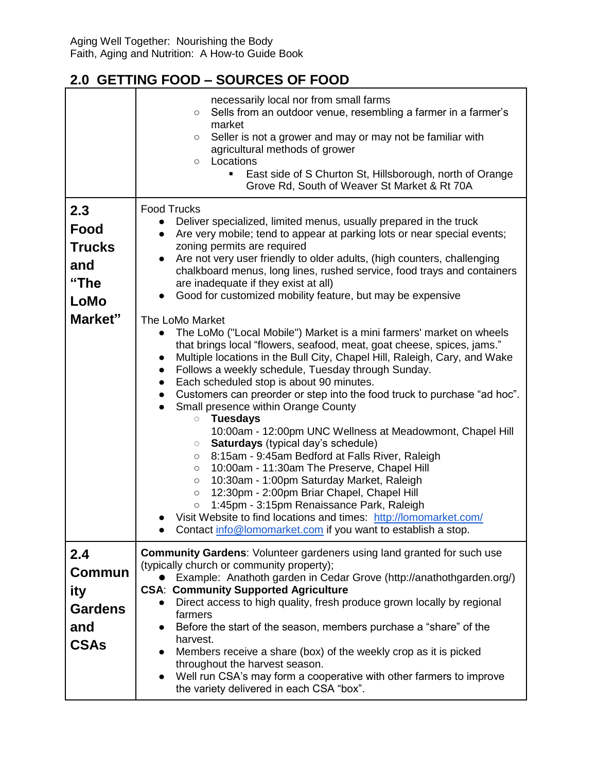|                                                                       | necessarily local nor from small farms<br>Sells from an outdoor venue, resembling a farmer in a farmer's<br>$\circ$<br>market<br>Seller is not a grower and may or may not be familiar with<br>$\circ$<br>agricultural methods of grower<br>Locations<br>$\circ$<br>East side of S Churton St, Hillsborough, north of Orange<br>Grove Rd, South of Weaver St Market & Rt 70A                                                                                                                                                                                                                                                                                                                                                                                                                                                                                                                                                                                                                                                                                                                                                                                                                                                                                                                                                                                                                                                                                                                                                                                         |
|-----------------------------------------------------------------------|----------------------------------------------------------------------------------------------------------------------------------------------------------------------------------------------------------------------------------------------------------------------------------------------------------------------------------------------------------------------------------------------------------------------------------------------------------------------------------------------------------------------------------------------------------------------------------------------------------------------------------------------------------------------------------------------------------------------------------------------------------------------------------------------------------------------------------------------------------------------------------------------------------------------------------------------------------------------------------------------------------------------------------------------------------------------------------------------------------------------------------------------------------------------------------------------------------------------------------------------------------------------------------------------------------------------------------------------------------------------------------------------------------------------------------------------------------------------------------------------------------------------------------------------------------------------|
| 2.3<br>Food<br><b>Trucks</b><br>and<br>"The<br><b>LoMo</b><br>Market" | <b>Food Trucks</b><br>Deliver specialized, limited menus, usually prepared in the truck<br>$\bullet$<br>Are very mobile; tend to appear at parking lots or near special events;<br>$\bullet$<br>zoning permits are required<br>Are not very user friendly to older adults, (high counters, challenging<br>$\bullet$<br>chalkboard menus, long lines, rushed service, food trays and containers<br>are inadequate if they exist at all)<br>Good for customized mobility feature, but may be expensive<br>The LoMo Market<br>The LoMo ("Local Mobile") Market is a mini farmers' market on wheels<br>$\bullet$<br>that brings local "flowers, seafood, meat, goat cheese, spices, jams."<br>Multiple locations in the Bull City, Chapel Hill, Raleigh, Cary, and Wake<br>$\bullet$<br>Follows a weekly schedule, Tuesday through Sunday.<br>$\bullet$<br>Each scheduled stop is about 90 minutes.<br>$\bullet$<br>Customers can preorder or step into the food truck to purchase "ad hoc".<br>$\bullet$<br>Small presence within Orange County<br><b>Tuesdays</b><br>$\bigcirc$<br>10:00am - 12:00pm UNC Wellness at Meadowmont, Chapel Hill<br>Saturdays (typical day's schedule)<br>$\bigcirc$<br>8:15am - 9:45am Bedford at Falls River, Raleigh<br>$\circ$<br>10:00am - 11:30am The Preserve, Chapel Hill<br>$\circ$<br>10:30am - 1:00pm Saturday Market, Raleigh<br>$\circ$<br>12:30pm - 2:00pm Briar Chapel, Chapel Hill<br>$\circ$<br>1:45pm - 3:15pm Renaissance Park, Raleigh<br>$\circ$<br>Visit Website to find locations and times: http://lomomarket.com/ |
|                                                                       | Contact info@lomomarket.com if you want to establish a stop.                                                                                                                                                                                                                                                                                                                                                                                                                                                                                                                                                                                                                                                                                                                                                                                                                                                                                                                                                                                                                                                                                                                                                                                                                                                                                                                                                                                                                                                                                                         |
| 2.4<br>Commun<br>ity<br><b>Gardens</b><br>and<br><b>CSAs</b>          | <b>Community Gardens: Volunteer gardeners using land granted for such use</b><br>(typically church or community property);<br>Example: Anathoth garden in Cedar Grove (http://anathothgarden.org/)<br><b>CSA: Community Supported Agriculture</b><br>Direct access to high quality, fresh produce grown locally by regional<br>$\bullet$<br>farmers<br>Before the start of the season, members purchase a "share" of the<br>$\bullet$<br>harvest.<br>Members receive a share (box) of the weekly crop as it is picked<br>$\bullet$<br>throughout the harvest season.<br>Well run CSA's may form a cooperative with other farmers to improve<br>$\bullet$<br>the variety delivered in each CSA "box".                                                                                                                                                                                                                                                                                                                                                                                                                                                                                                                                                                                                                                                                                                                                                                                                                                                                 |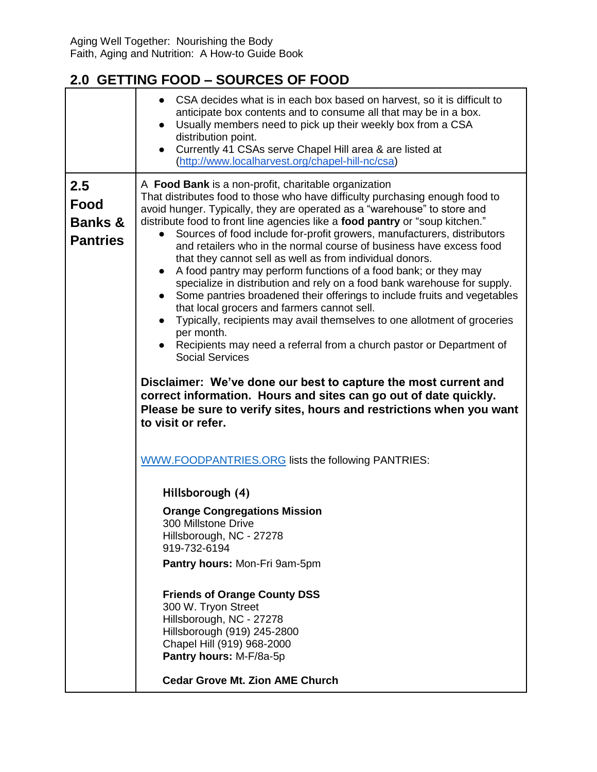|                                                      | • CSA decides what is in each box based on harvest, so it is difficult to<br>anticipate box contents and to consume all that may be in a box.<br>Usually members need to pick up their weekly box from a CSA<br>distribution point.<br>Currently 41 CSAs serve Chapel Hill area & are listed at<br>(http://www.localharvest.org/chapel-hill-nc/csa)                                                                                                                                                                                                                                                                                                                                                                                                                                                                                                                                                                                                                                                                                                                                                                                                                                                                                                              |
|------------------------------------------------------|------------------------------------------------------------------------------------------------------------------------------------------------------------------------------------------------------------------------------------------------------------------------------------------------------------------------------------------------------------------------------------------------------------------------------------------------------------------------------------------------------------------------------------------------------------------------------------------------------------------------------------------------------------------------------------------------------------------------------------------------------------------------------------------------------------------------------------------------------------------------------------------------------------------------------------------------------------------------------------------------------------------------------------------------------------------------------------------------------------------------------------------------------------------------------------------------------------------------------------------------------------------|
| 2.5<br>Food<br><b>Banks &amp;</b><br><b>Pantries</b> | A Food Bank is a non-profit, charitable organization<br>That distributes food to those who have difficulty purchasing enough food to<br>avoid hunger. Typically, they are operated as a "warehouse" to store and<br>distribute food to front line agencies like a food pantry or "soup kitchen."<br>Sources of food include for-profit growers, manufacturers, distributors<br>and retailers who in the normal course of business have excess food<br>that they cannot sell as well as from individual donors.<br>A food pantry may perform functions of a food bank; or they may<br>$\bullet$<br>specialize in distribution and rely on a food bank warehouse for supply.<br>Some pantries broadened their offerings to include fruits and vegetables<br>$\bullet$<br>that local grocers and farmers cannot sell.<br>Typically, recipients may avail themselves to one allotment of groceries<br>$\bullet$<br>per month.<br>Recipients may need a referral from a church pastor or Department of<br><b>Social Services</b><br>Disclaimer: We've done our best to capture the most current and<br>correct information. Hours and sites can go out of date quickly.<br>Please be sure to verify sites, hours and restrictions when you want<br>to visit or refer. |
|                                                      | <b>WWW.FOODPANTRIES.ORG lists the following PANTRIES:</b>                                                                                                                                                                                                                                                                                                                                                                                                                                                                                                                                                                                                                                                                                                                                                                                                                                                                                                                                                                                                                                                                                                                                                                                                        |
|                                                      | Hillsborough (4)                                                                                                                                                                                                                                                                                                                                                                                                                                                                                                                                                                                                                                                                                                                                                                                                                                                                                                                                                                                                                                                                                                                                                                                                                                                 |
|                                                      | <b>Orange Congregations Mission</b><br>300 Millstone Drive<br>Hillsborough, NC - 27278<br>919-732-6194                                                                                                                                                                                                                                                                                                                                                                                                                                                                                                                                                                                                                                                                                                                                                                                                                                                                                                                                                                                                                                                                                                                                                           |
|                                                      | Pantry hours: Mon-Fri 9am-5pm                                                                                                                                                                                                                                                                                                                                                                                                                                                                                                                                                                                                                                                                                                                                                                                                                                                                                                                                                                                                                                                                                                                                                                                                                                    |
|                                                      | <b>Friends of Orange County DSS</b><br>300 W. Tryon Street<br>Hillsborough, NC - 27278<br>Hillsborough (919) 245-2800<br>Chapel Hill (919) 968-2000<br>Pantry hours: M-F/8a-5p                                                                                                                                                                                                                                                                                                                                                                                                                                                                                                                                                                                                                                                                                                                                                                                                                                                                                                                                                                                                                                                                                   |
|                                                      | <b>Cedar Grove Mt. Zion AME Church</b>                                                                                                                                                                                                                                                                                                                                                                                                                                                                                                                                                                                                                                                                                                                                                                                                                                                                                                                                                                                                                                                                                                                                                                                                                           |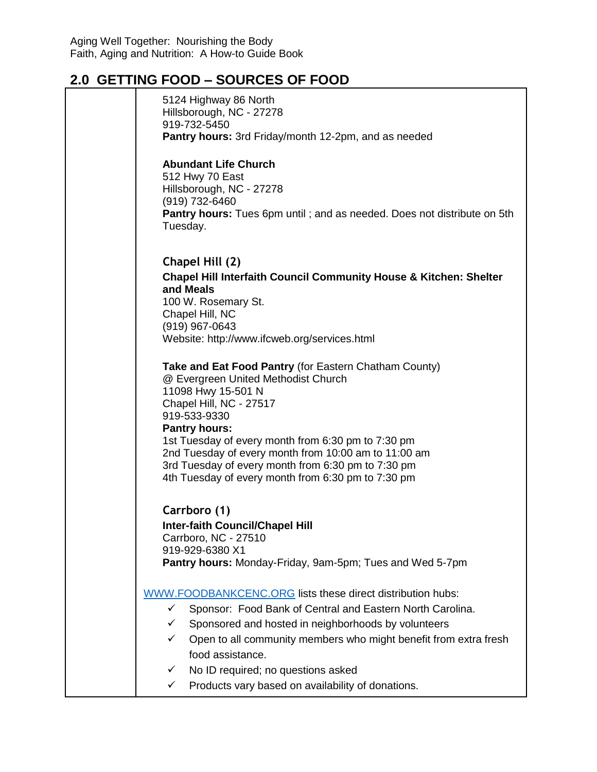| 5124 Highway 86 North<br>Hillsborough, NC - 27278<br>919-732-5450<br>Pantry hours: 3rd Friday/month 12-2pm, and as needed                                                                                                                                                                                                                                                                                       |
|-----------------------------------------------------------------------------------------------------------------------------------------------------------------------------------------------------------------------------------------------------------------------------------------------------------------------------------------------------------------------------------------------------------------|
| <b>Abundant Life Church</b><br>512 Hwy 70 East<br>Hillsborough, NC - 27278<br>(919) 732-6460<br>Pantry hours: Tues 6pm until; and as needed. Does not distribute on 5th<br>Tuesday.                                                                                                                                                                                                                             |
| Chapel Hill (2)<br><b>Chapel Hill Interfaith Council Community House &amp; Kitchen: Shelter</b><br>and Meals<br>100 W. Rosemary St.<br>Chapel Hill, NC<br>(919) 967-0643<br>Website: http://www.ifcweb.org/services.html                                                                                                                                                                                        |
| Take and Eat Food Pantry (for Eastern Chatham County)<br>@ Evergreen United Methodist Church<br>11098 Hwy 15-501 N<br>Chapel Hill, NC - 27517<br>919-533-9330<br><b>Pantry hours:</b><br>1st Tuesday of every month from 6:30 pm to 7:30 pm<br>2nd Tuesday of every month from 10:00 am to 11:00 am<br>3rd Tuesday of every month from 6:30 pm to 7:30 pm<br>4th Tuesday of every month from 6:30 pm to 7:30 pm |
| Carrboro (1)<br><b>Inter-faith Council/Chapel Hill</b><br>Carrboro, NC - 27510<br>919-929-6380 X1<br>Pantry hours: Monday-Friday, 9am-5pm; Tues and Wed 5-7pm                                                                                                                                                                                                                                                   |
| WWW.FOODBANKCENC.ORG lists these direct distribution hubs:<br>Sponsor: Food Bank of Central and Eastern North Carolina.<br>✓<br>Sponsored and hosted in neighborhoods by volunteers<br>✓<br>Open to all community members who might benefit from extra fresh<br>✓<br>food assistance.<br>No ID required; no questions asked<br>✓<br>Products vary based on availability of donations.<br>$\checkmark$           |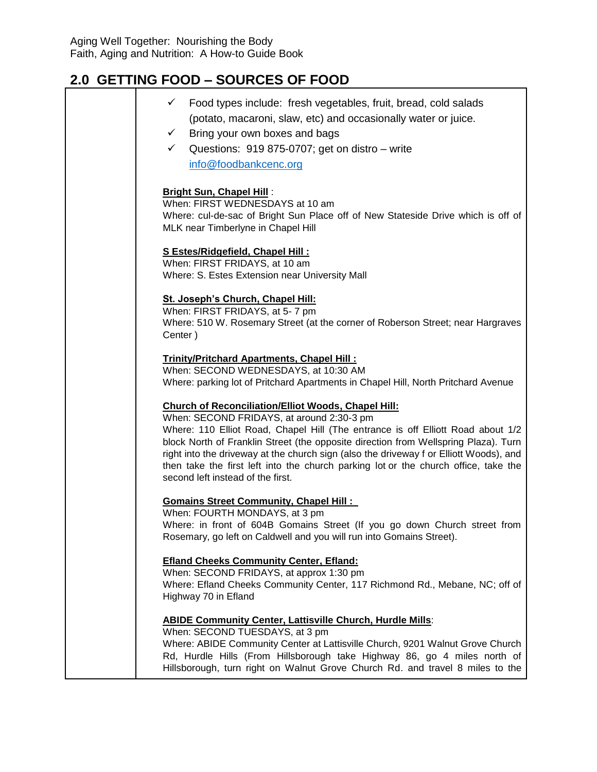| Food types include: fresh vegetables, fruit, bread, cold salads<br>✓<br>(potato, macaroni, slaw, etc) and occasionally water or juice.<br>Bring your own boxes and bags<br>$\checkmark$<br>Questions: 919 875-0707; get on distro - write<br>✓<br>info@foodbankcenc.org                                                                                                                                                                                                                                 |
|---------------------------------------------------------------------------------------------------------------------------------------------------------------------------------------------------------------------------------------------------------------------------------------------------------------------------------------------------------------------------------------------------------------------------------------------------------------------------------------------------------|
| <b>Bright Sun, Chapel Hill:</b><br>When: FIRST WEDNESDAYS at 10 am<br>Where: cul-de-sac of Bright Sun Place off of New Stateside Drive which is off of<br>MLK near Timberlyne in Chapel Hill                                                                                                                                                                                                                                                                                                            |
| S Estes/Ridgefield, Chapel Hill:<br>When: FIRST FRIDAYS, at 10 am<br>Where: S. Estes Extension near University Mall                                                                                                                                                                                                                                                                                                                                                                                     |
| St. Joseph's Church, Chapel Hill:<br>When: FIRST FRIDAYS, at 5-7 pm<br>Where: 510 W. Rosemary Street (at the corner of Roberson Street; near Hargraves<br>Center)                                                                                                                                                                                                                                                                                                                                       |
| Trinity/Pritchard Apartments, Chapel Hill:<br>When: SECOND WEDNESDAYS, at 10:30 AM<br>Where: parking lot of Pritchard Apartments in Chapel Hill, North Pritchard Avenue                                                                                                                                                                                                                                                                                                                                 |
| <b>Church of Reconciliation/Elliot Woods, Chapel Hill:</b><br>When: SECOND FRIDAYS, at around 2:30-3 pm<br>Where: 110 Elliot Road, Chapel Hill (The entrance is off Elliott Road about 1/2<br>block North of Franklin Street (the opposite direction from Wellspring Plaza). Turn<br>right into the driveway at the church sign (also the driveway f or Elliott Woods), and<br>then take the first left into the church parking lot or the church office, take the<br>second left instead of the first. |
| <b>Gomains Street Community, Chapel Hill:</b><br>When: FOURTH MONDAYS, at 3 pm<br>Where: in front of 604B Gomains Street (If you go down Church street from<br>Rosemary, go left on Caldwell and you will run into Gomains Street).                                                                                                                                                                                                                                                                     |
| <b>Efland Cheeks Community Center, Efland:</b><br>When: SECOND FRIDAYS, at approx 1:30 pm<br>Where: Efland Cheeks Community Center, 117 Richmond Rd., Mebane, NC; off of<br>Highway 70 in Efland                                                                                                                                                                                                                                                                                                        |
| <b>ABIDE Community Center, Lattisville Church, Hurdle Mills:</b><br>When: SECOND TUESDAYS, at 3 pm<br>Where: ABIDE Community Center at Lattisville Church, 9201 Walnut Grove Church<br>Rd, Hurdle Hills (From Hillsborough take Highway 86, go 4 miles north of<br>Hillsborough, turn right on Walnut Grove Church Rd. and travel 8 miles to the                                                                                                                                                        |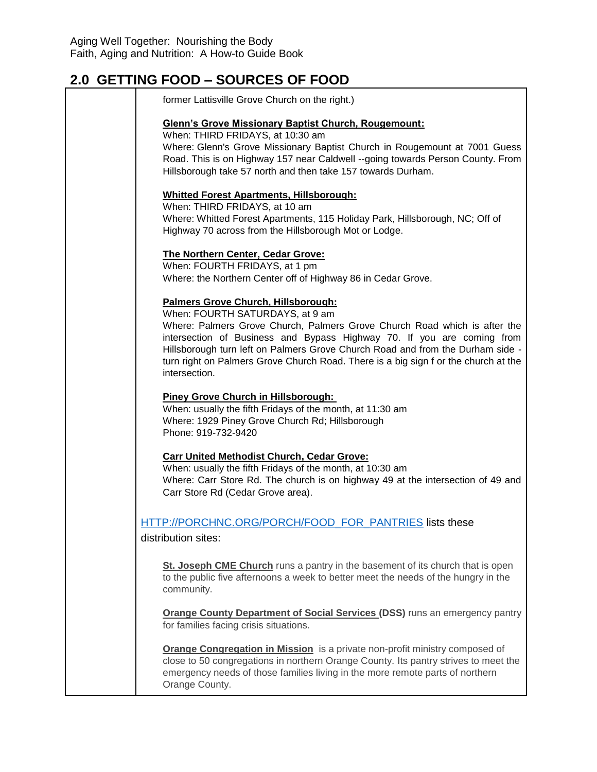| former Lattisville Grove Church on the right.)                                                                                                                                                                                                                                                                                                                                                                          |
|-------------------------------------------------------------------------------------------------------------------------------------------------------------------------------------------------------------------------------------------------------------------------------------------------------------------------------------------------------------------------------------------------------------------------|
| <b>Glenn's Grove Missionary Baptist Church, Rougemount:</b><br>When: THIRD FRIDAYS, at 10:30 am<br>Where: Glenn's Grove Missionary Baptist Church in Rougemount at 7001 Guess<br>Road. This is on Highway 157 near Caldwell --going towards Person County. From<br>Hillsborough take 57 north and then take 157 towards Durham.                                                                                         |
| <b>Whitted Forest Apartments, Hillsborough:</b><br>When: THIRD FRIDAYS, at 10 am<br>Where: Whitted Forest Apartments, 115 Holiday Park, Hillsborough, NC; Off of<br>Highway 70 across from the Hillsborough Mot or Lodge.                                                                                                                                                                                               |
| The Northern Center, Cedar Grove:<br>When: FOURTH FRIDAYS, at 1 pm<br>Where: the Northern Center off of Highway 86 in Cedar Grove.                                                                                                                                                                                                                                                                                      |
| Palmers Grove Church, Hillsborough:<br>When: FOURTH SATURDAYS, at 9 am<br>Where: Palmers Grove Church, Palmers Grove Church Road which is after the<br>intersection of Business and Bypass Highway 70. If you are coming from<br>Hillsborough turn left on Palmers Grove Church Road and from the Durham side -<br>turn right on Palmers Grove Church Road. There is a big sign f or the church at the<br>intersection. |
| <b>Piney Grove Church in Hillsborough:</b><br>When: usually the fifth Fridays of the month, at 11:30 am<br>Where: 1929 Piney Grove Church Rd; Hillsborough<br>Phone: 919-732-9420                                                                                                                                                                                                                                       |
| <b>Carr United Methodist Church, Cedar Grove:</b><br>When: usually the fifth Fridays of the month, at 10:30 am<br>Where: Carr Store Rd. The church is on highway 49 at the intersection of 49 and<br>Carr Store Rd (Cedar Grove area).                                                                                                                                                                                  |
| HTTP://PORCHNC.ORG/PORCH/FOOD FOR PANTRIES lists these<br>distribution sites:                                                                                                                                                                                                                                                                                                                                           |
| St. Joseph CME Church runs a pantry in the basement of its church that is open<br>to the public five afternoons a week to better meet the needs of the hungry in the<br>community.                                                                                                                                                                                                                                      |
| <b>Orange County Department of Social Services (DSS)</b> runs an emergency pantry<br>for families facing crisis situations.                                                                                                                                                                                                                                                                                             |
| Orange Congregation in Mission is a private non-profit ministry composed of<br>close to 50 congregations in northern Orange County. Its pantry strives to meet the<br>emergency needs of those families living in the more remote parts of northern<br>Orange County.                                                                                                                                                   |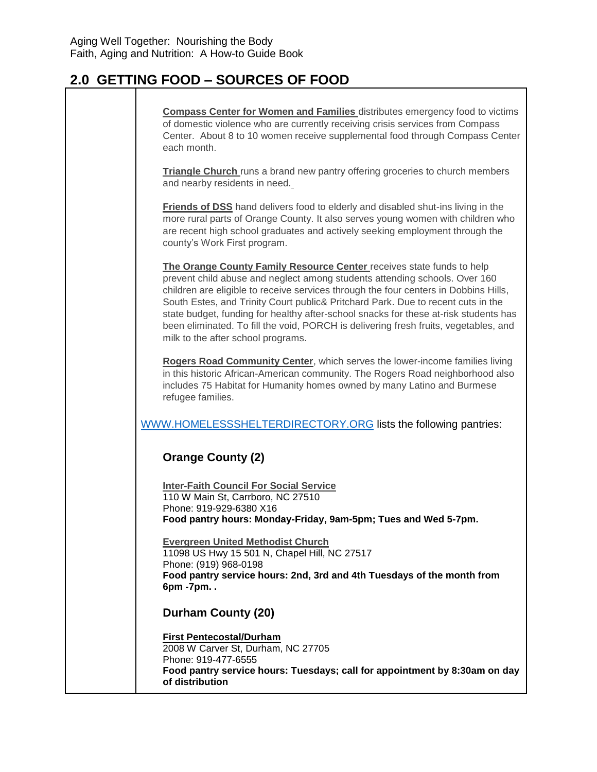| <b>Compass Center for Women and Families</b> distributes emergency food to victims<br>of domestic violence who are currently receiving crisis services from Compass<br>Center. About 8 to 10 women receive supplemental food through Compass Center<br>each month.                                                                                                                                                                                                                                                                                    |
|-------------------------------------------------------------------------------------------------------------------------------------------------------------------------------------------------------------------------------------------------------------------------------------------------------------------------------------------------------------------------------------------------------------------------------------------------------------------------------------------------------------------------------------------------------|
| <b>Triangle Church</b> runs a brand new pantry offering groceries to church members<br>and nearby residents in need.                                                                                                                                                                                                                                                                                                                                                                                                                                  |
| Friends of DSS hand delivers food to elderly and disabled shut-ins living in the<br>more rural parts of Orange County. It also serves young women with children who<br>are recent high school graduates and actively seeking employment through the<br>county's Work First program.                                                                                                                                                                                                                                                                   |
| The Orange County Family Resource Center receives state funds to help<br>prevent child abuse and neglect among students attending schools. Over 160<br>children are eligible to receive services through the four centers in Dobbins Hills,<br>South Estes, and Trinity Court public& Pritchard Park. Due to recent cuts in the<br>state budget, funding for healthy after-school snacks for these at-risk students has<br>been eliminated. To fill the void, PORCH is delivering fresh fruits, vegetables, and<br>milk to the after school programs. |
| Rogers Road Community Center, which serves the lower-income families living<br>in this historic African-American community. The Rogers Road neighborhood also<br>includes 75 Habitat for Humanity homes owned by many Latino and Burmese<br>refugee families.                                                                                                                                                                                                                                                                                         |
| WWW.HOMELESSSHELTERDIRECTORY.ORG lists the following pantries:                                                                                                                                                                                                                                                                                                                                                                                                                                                                                        |
| <b>Orange County (2)</b>                                                                                                                                                                                                                                                                                                                                                                                                                                                                                                                              |
| <b>Inter-Faith Council For Social Service</b><br>110 W Main St, Carrboro, NC 27510<br>Phone: 919-929-6380 X16<br>Food pantry hours: Monday-Friday, 9am-5pm; Tues and Wed 5-7pm.                                                                                                                                                                                                                                                                                                                                                                       |
| <b>Evergreen United Methodist Church</b><br>11098 US Hwy 15 501 N, Chapel Hill, NC 27517<br>Phone: (919) 968-0198<br>Food pantry service hours: 2nd, 3rd and 4th Tuesdays of the month from<br>6pm -7pm                                                                                                                                                                                                                                                                                                                                               |
| Durham County (20)                                                                                                                                                                                                                                                                                                                                                                                                                                                                                                                                    |
| <b>First Pentecostal/Durham</b><br>2008 W Carver St, Durham, NC 27705<br>Phone: 919-477-6555<br>Food pantry service hours: Tuesdays; call for appointment by 8:30am on day<br>of distribution                                                                                                                                                                                                                                                                                                                                                         |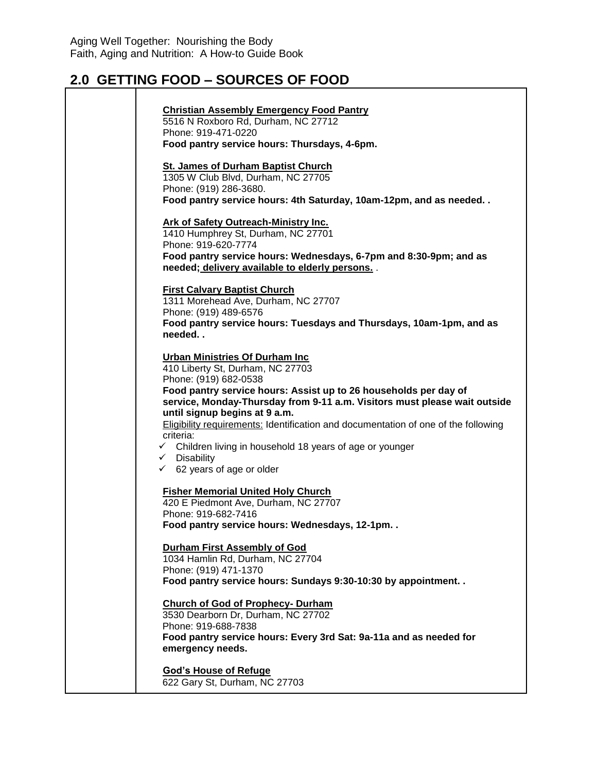| <b>Christian Assembly Emergency Food Pantry</b>                                                                                               |
|-----------------------------------------------------------------------------------------------------------------------------------------------|
| 5516 N Roxboro Rd, Durham, NC 27712                                                                                                           |
| Phone: 919-471-0220                                                                                                                           |
| Food pantry service hours: Thursdays, 4-6pm.                                                                                                  |
| <b>St. James of Durham Baptist Church</b>                                                                                                     |
| 1305 W Club Blvd, Durham, NC 27705                                                                                                            |
| Phone: (919) 286-3680.                                                                                                                        |
| Food pantry service hours: 4th Saturday, 10am-12pm, and as needed                                                                             |
|                                                                                                                                               |
| <b>Ark of Safety Outreach-Ministry Inc.</b><br>1410 Humphrey St, Durham, NC 27701                                                             |
| Phone: 919-620-7774                                                                                                                           |
| Food pantry service hours: Wednesdays, 6-7pm and 8:30-9pm; and as                                                                             |
| needed; delivery available to elderly persons. .                                                                                              |
|                                                                                                                                               |
| <b>First Calvary Baptist Church</b>                                                                                                           |
| 1311 Morehead Ave, Durham, NC 27707                                                                                                           |
| Phone: (919) 489-6576                                                                                                                         |
| Food pantry service hours: Tuesdays and Thursdays, 10am-1pm, and as<br>needed                                                                 |
|                                                                                                                                               |
| <b>Urban Ministries Of Durham Inc.</b>                                                                                                        |
| 410 Liberty St, Durham, NC 27703                                                                                                              |
| Phone: (919) 682-0538                                                                                                                         |
| Food pantry service hours: Assist up to 26 households per day of<br>service, Monday-Thursday from 9-11 a.m. Visitors must please wait outside |
| until signup begins at 9 a.m.                                                                                                                 |
| <b>Eligibility requirements: Identification and documentation of one of the following</b>                                                     |
| criteria:                                                                                                                                     |
| $\checkmark$ Children living in household 18 years of age or younger                                                                          |
| $\checkmark$ Disability                                                                                                                       |
| $\times$ 62 years of age or older                                                                                                             |
| <b>Fisher Memorial United Holy Church</b>                                                                                                     |
| 420 E Piedmont Ave, Durham, NC 27707                                                                                                          |
| Phone: 919-682-7416                                                                                                                           |
| Food pantry service hours: Wednesdays, 12-1pm                                                                                                 |
| <b>Durham First Assembly of God</b>                                                                                                           |
| 1034 Hamlin Rd, Durham, NC 27704                                                                                                              |
| Phone: (919) 471-1370                                                                                                                         |
| Food pantry service hours: Sundays 9:30-10:30 by appointment                                                                                  |
|                                                                                                                                               |
| <b>Church of God of Prophecy- Durham</b>                                                                                                      |
| 3530 Dearborn Dr, Durham, NC 27702<br>Phone: 919-688-7838                                                                                     |
| Food pantry service hours: Every 3rd Sat: 9a-11a and as needed for                                                                            |
| emergency needs.                                                                                                                              |
|                                                                                                                                               |
| <b>God's House of Refuge</b>                                                                                                                  |
| 622 Gary St, Durham, NC 27703                                                                                                                 |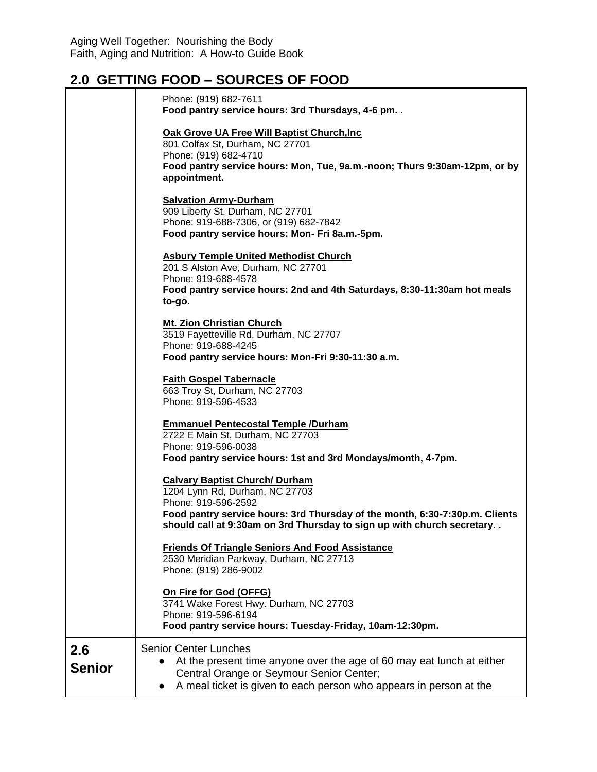|                      | Phone: (919) 682-7611<br>Food pantry service hours: 3rd Thursdays, 4-6 pm. .                                                                                                                                                                            |
|----------------------|---------------------------------------------------------------------------------------------------------------------------------------------------------------------------------------------------------------------------------------------------------|
|                      | Oak Grove UA Free Will Baptist Church, Inc.<br>801 Colfax St, Durham, NC 27701<br>Phone: (919) 682-4710<br>Food pantry service hours: Mon, Tue, 9a.m.-noon; Thurs 9:30am-12pm, or by<br>appointment.                                                    |
|                      | <b>Salvation Army-Durham</b><br>909 Liberty St, Durham, NC 27701<br>Phone: 919-688-7306, or (919) 682-7842<br>Food pantry service hours: Mon- Fri 8a.m.-5pm.                                                                                            |
|                      | <b>Asbury Temple United Methodist Church</b><br>201 S Alston Ave, Durham, NC 27701<br>Phone: 919-688-4578<br>Food pantry service hours: 2nd and 4th Saturdays, 8:30-11:30am hot meals<br>to-go.                                                         |
|                      | <b>Mt. Zion Christian Church</b><br>3519 Fayetteville Rd, Durham, NC 27707<br>Phone: 919-688-4245<br>Food pantry service hours: Mon-Fri 9:30-11:30 a.m.                                                                                                 |
|                      | <b>Faith Gospel Tabernacle</b><br>663 Troy St, Durham, NC 27703<br>Phone: 919-596-4533                                                                                                                                                                  |
|                      | <b>Emmanuel Pentecostal Temple /Durham</b><br>2722 E Main St, Durham, NC 27703<br>Phone: 919-596-0038<br>Food pantry service hours: 1st and 3rd Mondays/month, 4-7pm.                                                                                   |
|                      | <b>Calvary Baptist Church/ Durham</b><br>1204 Lynn Rd, Durham, NC 27703<br>Phone: 919-596-2592<br>Food pantry service hours: 3rd Thursday of the month, 6:30-7:30p.m. Clients<br>should call at 9:30am on 3rd Thursday to sign up with church secretary |
|                      | <b>Friends Of Triangle Seniors And Food Assistance</b><br>2530 Meridian Parkway, Durham, NC 27713<br>Phone: (919) 286-9002                                                                                                                              |
|                      | On Fire for God (OFFG)<br>3741 Wake Forest Hwy. Durham, NC 27703<br>Phone: 919-596-6194<br>Food pantry service hours: Tuesday-Friday, 10am-12:30pm.                                                                                                     |
| 2.6<br><b>Senior</b> | <b>Senior Center Lunches</b><br>At the present time anyone over the age of 60 may eat lunch at either<br>Central Orange or Seymour Senior Center;<br>A meal ticket is given to each person who appears in person at the                                 |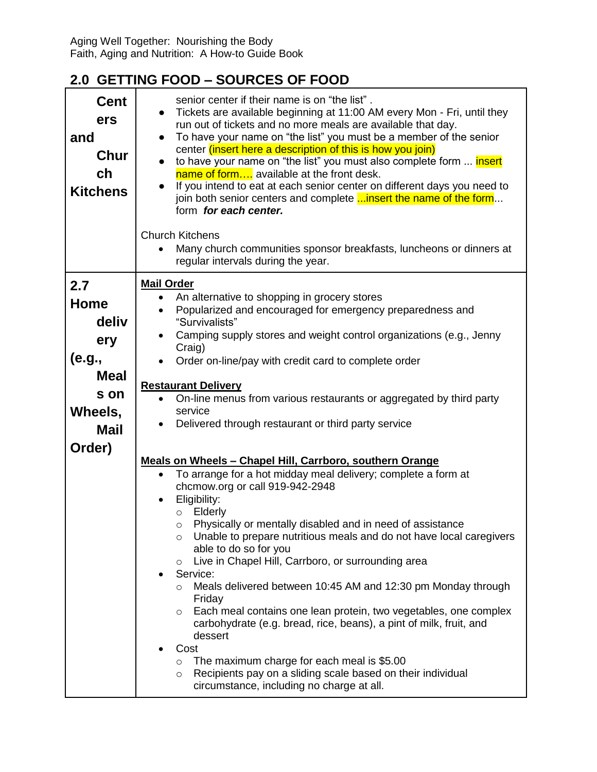| <b>Cent</b><br>ers<br>and<br>Chur<br>ch<br><b>Kitchens</b>                                              | senior center if their name is on "the list".<br>Tickets are available beginning at 11:00 AM every Mon - Fri, until they<br>run out of tickets and no more meals are available that day.<br>To have your name on "the list" you must be a member of the senior<br>$\bullet$<br>center (insert here a description of this is how you join)<br>to have your name on "the list" you must also complete form  insert<br>$\bullet$<br>name of form available at the front desk.<br>If you intend to eat at each senior center on different days you need to<br>$\bullet$<br>join both senior centers and complete <b>insert the name of the form</b><br>form for each center.<br><b>Church Kitchens</b>                                                                                                                                                                                                                                                                                                                                                                                                                                                                                                                                                                                                                                                                                    |
|---------------------------------------------------------------------------------------------------------|---------------------------------------------------------------------------------------------------------------------------------------------------------------------------------------------------------------------------------------------------------------------------------------------------------------------------------------------------------------------------------------------------------------------------------------------------------------------------------------------------------------------------------------------------------------------------------------------------------------------------------------------------------------------------------------------------------------------------------------------------------------------------------------------------------------------------------------------------------------------------------------------------------------------------------------------------------------------------------------------------------------------------------------------------------------------------------------------------------------------------------------------------------------------------------------------------------------------------------------------------------------------------------------------------------------------------------------------------------------------------------------|
|                                                                                                         | Many church communities sponsor breakfasts, luncheons or dinners at<br>regular intervals during the year.                                                                                                                                                                                                                                                                                                                                                                                                                                                                                                                                                                                                                                                                                                                                                                                                                                                                                                                                                                                                                                                                                                                                                                                                                                                                             |
| 2.7<br><b>Home</b><br>deliv<br>ery<br>(e.g.,<br><b>Meal</b><br>s on<br>Wheels,<br><b>Mail</b><br>Order) | <b>Mail Order</b><br>An alternative to shopping in grocery stores<br>$\bullet$<br>Popularized and encouraged for emergency preparedness and<br>"Survivalists"<br>Camping supply stores and weight control organizations (e.g., Jenny<br>Craig)<br>Order on-line/pay with credit card to complete order<br><b>Restaurant Delivery</b><br>On-line menus from various restaurants or aggregated by third party<br>service<br>Delivered through restaurant or third party service<br>Meals on Wheels - Chapel Hill, Carrboro, southern Orange<br>To arrange for a hot midday meal delivery; complete a form at<br>chcmow.org or call 919-942-2948<br>Eligibility:<br>Elderly<br>$\circ$<br>Physically or mentally disabled and in need of assistance<br>Unable to prepare nutritious meals and do not have local caregivers<br>$\circ$<br>able to do so for you<br>Live in Chapel Hill, Carrboro, or surrounding area<br>$\circ$<br>Service:<br>Meals delivered between 10:45 AM and 12:30 pm Monday through<br>$\circ$<br>Friday<br>Each meal contains one lean protein, two vegetables, one complex<br>$\circ$<br>carbohydrate (e.g. bread, rice, beans), a pint of milk, fruit, and<br>dessert<br>Cost<br>The maximum charge for each meal is \$5.00<br>$\circ$<br>Recipients pay on a sliding scale based on their individual<br>$\circ$<br>circumstance, including no charge at all. |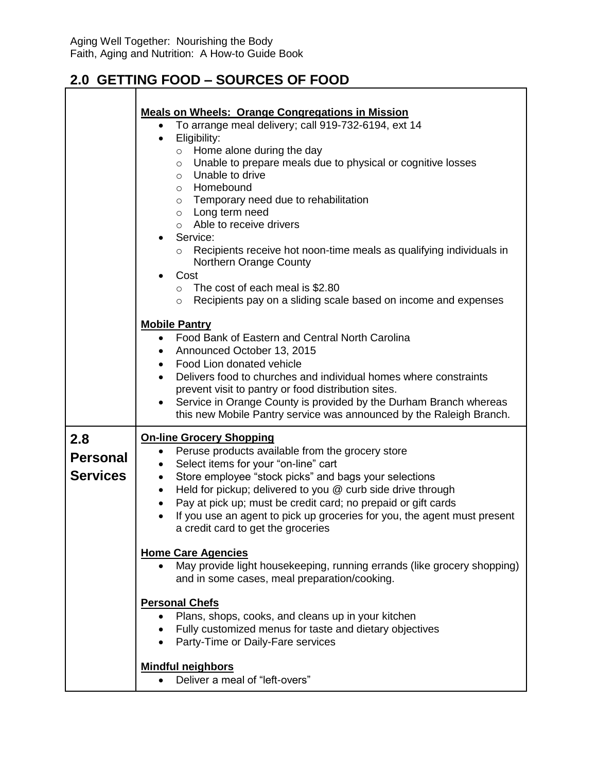$\mathbf{r}$ 

|                                           | <b>Meals on Wheels: Orange Congregations in Mission</b><br>To arrange meal delivery; call 919-732-6194, ext 14<br>$\bullet$<br>Eligibility:<br>$\bullet$<br>Home alone during the day<br>$\circ$<br>Unable to prepare meals due to physical or cognitive losses<br>$\circ$<br>Unable to drive<br>$\circ$<br>Homebound<br>$\circ$<br>$\circ$ Temporary need due to rehabilitation<br>$\circ$ Long term need<br>$\circ$ Able to receive drivers<br>Service:<br>$\bullet$<br>Recipients receive hot noon-time meals as qualifying individuals in<br>$\circ$<br>Northern Orange County<br>Cost<br>The cost of each meal is \$2.80<br>$\circ$<br>Recipients pay on a sliding scale based on income and expenses<br>$\circ$ |  |
|-------------------------------------------|-----------------------------------------------------------------------------------------------------------------------------------------------------------------------------------------------------------------------------------------------------------------------------------------------------------------------------------------------------------------------------------------------------------------------------------------------------------------------------------------------------------------------------------------------------------------------------------------------------------------------------------------------------------------------------------------------------------------------|--|
|                                           | <b>Mobile Pantry</b><br>Food Bank of Eastern and Central North Carolina<br>$\bullet$<br>Announced October 13, 2015<br>$\bullet$<br>Food Lion donated vehicle<br>$\bullet$<br>Delivers food to churches and individual homes where constraints<br>$\bullet$<br>prevent visit to pantry or food distribution sites.<br>Service in Orange County is provided by the Durham Branch whereas<br>$\bullet$<br>this new Mobile Pantry service was announced by the Raleigh Branch.                                                                                                                                                                                                                                            |  |
| 2.8<br><b>Personal</b><br><b>Services</b> | <b>On-line Grocery Shopping</b><br>Peruse products available from the grocery store<br>Select items for your "on-line" cart<br>٠<br>Store employee "stock picks" and bags your selections<br>$\bullet$<br>Held for pickup; delivered to you @ curb side drive through<br>$\bullet$<br>Pay at pick up; must be credit card; no prepaid or gift cards<br>$\bullet$<br>If you use an agent to pick up groceries for you, the agent must present<br>a credit card to get the groceries<br><b>Home Care Agencies</b>                                                                                                                                                                                                       |  |
|                                           | May provide light housekeeping, running errands (like grocery shopping)<br>and in some cases, meal preparation/cooking.<br><b>Personal Chefs</b><br>Plans, shops, cooks, and cleans up in your kitchen<br>Fully customized menus for taste and dietary objectives<br>• Party-Time or Daily-Fare services<br><b>Mindful neighbors</b><br>• Deliver a meal of "left-overs"                                                                                                                                                                                                                                                                                                                                              |  |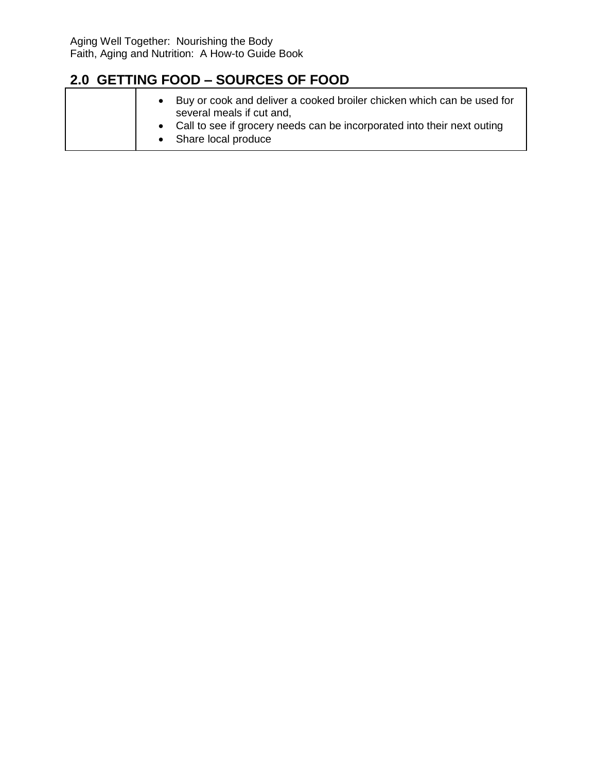| Buy or cook and deliver a cooked broiler chicken which can be used for<br>several meals if cut and,<br>• Call to see if grocery needs can be incorporated into their next outing<br>• Share local produce |
|-----------------------------------------------------------------------------------------------------------------------------------------------------------------------------------------------------------|
|-----------------------------------------------------------------------------------------------------------------------------------------------------------------------------------------------------------|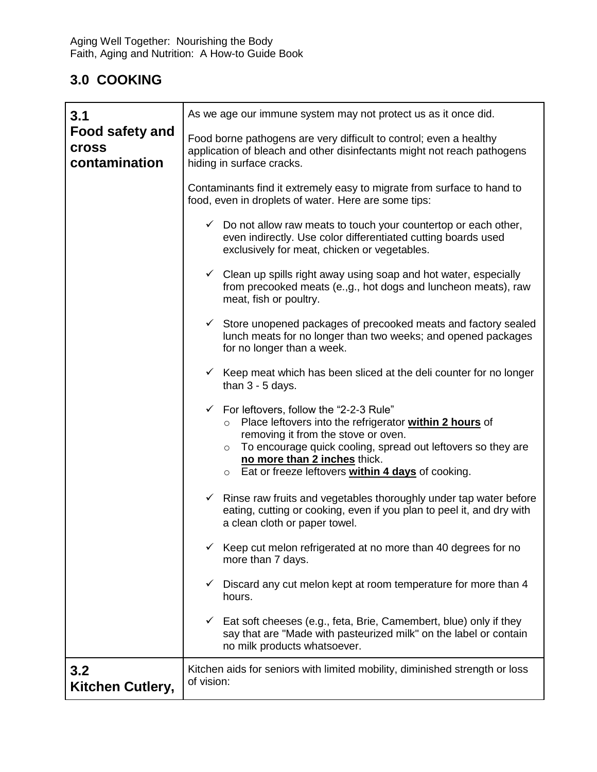## **3.0 COOKING**

| 3.1                                                     | As we age our immune system may not protect us as it once did.                                                                                                                                                                                                                                                                     |  |  |
|---------------------------------------------------------|------------------------------------------------------------------------------------------------------------------------------------------------------------------------------------------------------------------------------------------------------------------------------------------------------------------------------------|--|--|
| <b>Food safety and</b><br><b>Cross</b><br>contamination | Food borne pathogens are very difficult to control; even a healthy<br>application of bleach and other disinfectants might not reach pathogens<br>hiding in surface cracks.                                                                                                                                                         |  |  |
|                                                         | Contaminants find it extremely easy to migrate from surface to hand to<br>food, even in droplets of water. Here are some tips:                                                                                                                                                                                                     |  |  |
|                                                         | $\checkmark$ Do not allow raw meats to touch your countertop or each other,<br>even indirectly. Use color differentiated cutting boards used<br>exclusively for meat, chicken or vegetables.                                                                                                                                       |  |  |
|                                                         | Clean up spills right away using soap and hot water, especially<br>$\checkmark$<br>from precooked meats (e.,g., hot dogs and luncheon meats), raw<br>meat, fish or poultry.                                                                                                                                                        |  |  |
|                                                         | $\checkmark$ Store unopened packages of precooked meats and factory sealed<br>lunch meats for no longer than two weeks; and opened packages<br>for no longer than a week.                                                                                                                                                          |  |  |
|                                                         | $\checkmark$ Keep meat which has been sliced at the deli counter for no longer<br>than $3 - 5$ days.                                                                                                                                                                                                                               |  |  |
|                                                         | $\checkmark$ For leftovers, follow the "2-2-3 Rule"<br>Place leftovers into the refrigerator within 2 hours of<br>$\circ$<br>removing it from the stove or oven.<br>To encourage quick cooling, spread out leftovers so they are<br>$\circ$<br>no more than 2 inches thick.<br>○ Eat or freeze leftovers within 4 days of cooking. |  |  |
|                                                         | $\checkmark$ Rinse raw fruits and vegetables thoroughly under tap water before<br>eating, cutting or cooking, even if you plan to peel it, and dry with<br>a clean cloth or paper towel.                                                                                                                                           |  |  |
|                                                         | Keep cut melon refrigerated at no more than 40 degrees for no<br>✓<br>more than 7 days.                                                                                                                                                                                                                                            |  |  |
|                                                         | Discard any cut melon kept at room temperature for more than 4<br>✓<br>hours.                                                                                                                                                                                                                                                      |  |  |
|                                                         | Eat soft cheeses (e.g., feta, Brie, Camembert, blue) only if they<br>✓<br>say that are "Made with pasteurized milk" on the label or contain<br>no milk products whatsoever.                                                                                                                                                        |  |  |
| 3.2<br>Kitchen Cutlery,                                 | Kitchen aids for seniors with limited mobility, diminished strength or loss<br>of vision:                                                                                                                                                                                                                                          |  |  |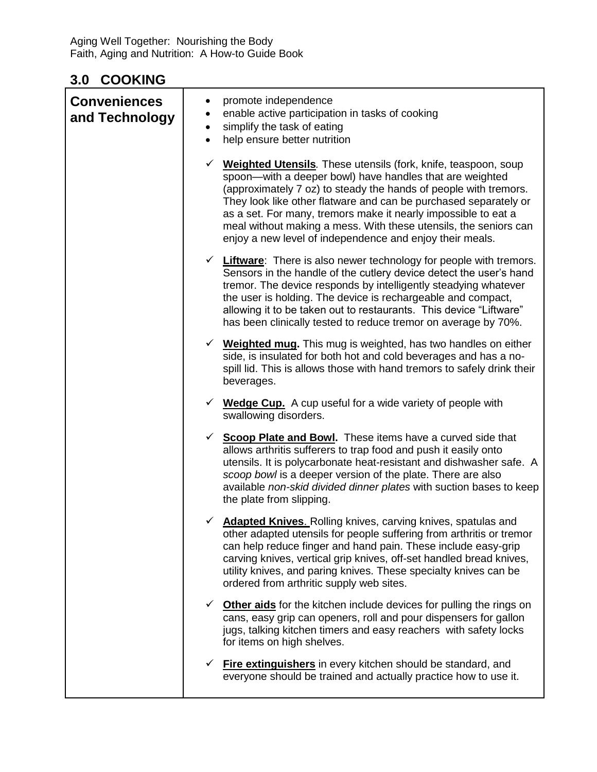#### **3.0 COOKING**

| <b>Conveniences</b><br>and Technology | promote independence<br>enable active participation in tasks of cooking<br>٠<br>simplify the task of eating<br>$\bullet$<br>help ensure better nutrition                                                                                                                                                                                                                                                                                                                    |  |
|---------------------------------------|-----------------------------------------------------------------------------------------------------------------------------------------------------------------------------------------------------------------------------------------------------------------------------------------------------------------------------------------------------------------------------------------------------------------------------------------------------------------------------|--|
|                                       | <b>Weighted Utensils.</b> These utensils (fork, knife, teaspoon, soup<br>spoon-with a deeper bowl) have handles that are weighted<br>(approximately 7 oz) to steady the hands of people with tremors.<br>They look like other flatware and can be purchased separately or<br>as a set. For many, tremors make it nearly impossible to eat a<br>meal without making a mess. With these utensils, the seniors can<br>enjoy a new level of independence and enjoy their meals. |  |
|                                       | $\checkmark$ Liftware: There is also newer technology for people with tremors.<br>Sensors in the handle of the cutlery device detect the user's hand<br>tremor. The device responds by intelligently steadying whatever<br>the user is holding. The device is rechargeable and compact,<br>allowing it to be taken out to restaurants. This device "Liftware"<br>has been clinically tested to reduce tremor on average by 70%.                                             |  |
|                                       | $\checkmark$ Weighted mug. This mug is weighted, has two handles on either<br>side, is insulated for both hot and cold beverages and has a no-<br>spill lid. This is allows those with hand tremors to safely drink their<br>beverages.                                                                                                                                                                                                                                     |  |
|                                       | $\checkmark$ Wedge Cup. A cup useful for a wide variety of people with<br>swallowing disorders.                                                                                                                                                                                                                                                                                                                                                                             |  |
|                                       | Scoop Plate and Bowl. These items have a curved side that<br>$\checkmark$<br>allows arthritis sufferers to trap food and push it easily onto<br>utensils. It is polycarbonate heat-resistant and dishwasher safe. A<br>scoop bowl is a deeper version of the plate. There are also<br>available non-skid divided dinner plates with suction bases to keep<br>the plate from slipping.                                                                                       |  |
|                                       | <b>Adapted Knives.</b> Rolling knives, carving knives, spatulas and<br>✓<br>other adapted utensils for people suffering from arthritis or tremor<br>can help reduce finger and hand pain. These include easy-grip<br>carving knives, vertical grip knives, off-set handled bread knives,<br>utility knives, and paring knives. These specialty knives can be<br>ordered from arthritic supply web sites.                                                                    |  |
|                                       | <b>Other aids</b> for the kitchen include devices for pulling the rings on<br>✓<br>cans, easy grip can openers, roll and pour dispensers for gallon<br>jugs, talking kitchen timers and easy reachers with safety locks<br>for items on high shelves.                                                                                                                                                                                                                       |  |
|                                       | <b>Fire extinguishers</b> in every kitchen should be standard, and<br>✓<br>everyone should be trained and actually practice how to use it.                                                                                                                                                                                                                                                                                                                                  |  |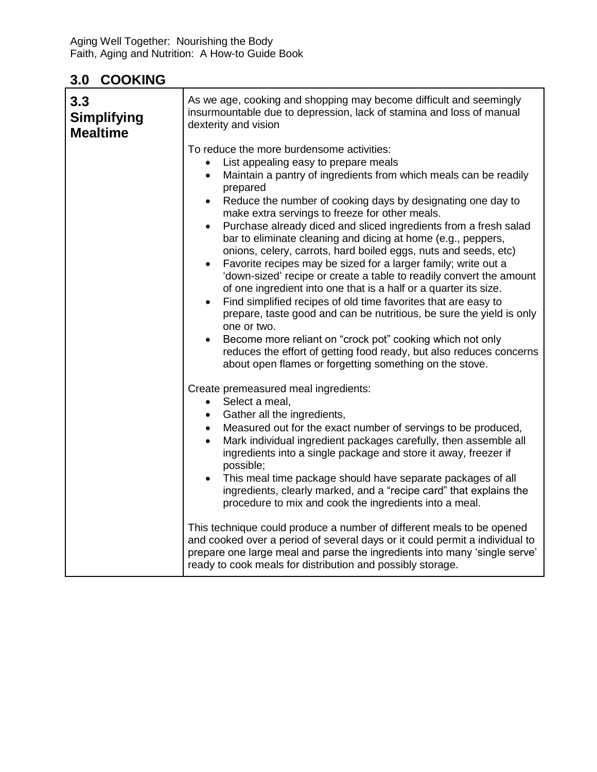#### **3.0 COOKING**

| 3.3<br><b>Simplifying</b><br><b>Mealtime</b> | As we age, cooking and shopping may become difficult and seemingly<br>insurmountable due to depression, lack of stamina and loss of manual<br>dexterity and vision                                                                                                                                                                                                                                                                                                                                                                                                                                                                                                                                                                                                                                                                                                                                                                                                                                                                                                                                                              |
|----------------------------------------------|---------------------------------------------------------------------------------------------------------------------------------------------------------------------------------------------------------------------------------------------------------------------------------------------------------------------------------------------------------------------------------------------------------------------------------------------------------------------------------------------------------------------------------------------------------------------------------------------------------------------------------------------------------------------------------------------------------------------------------------------------------------------------------------------------------------------------------------------------------------------------------------------------------------------------------------------------------------------------------------------------------------------------------------------------------------------------------------------------------------------------------|
|                                              | To reduce the more burdensome activities:<br>List appealing easy to prepare meals<br>Maintain a pantry of ingredients from which meals can be readily<br>$\bullet$<br>prepared<br>Reduce the number of cooking days by designating one day to<br>$\bullet$<br>make extra servings to freeze for other meals.<br>Purchase already diced and sliced ingredients from a fresh salad<br>$\bullet$<br>bar to eliminate cleaning and dicing at home (e.g., peppers,<br>onions, celery, carrots, hard boiled eggs, nuts and seeds, etc)<br>Favorite recipes may be sized for a larger family; write out a<br>$\bullet$<br>'down-sized' recipe or create a table to readily convert the amount<br>of one ingredient into one that is a half or a quarter its size.<br>Find simplified recipes of old time favorites that are easy to<br>$\bullet$<br>prepare, taste good and can be nutritious, be sure the yield is only<br>one or two.<br>Become more reliant on "crock pot" cooking which not only<br>reduces the effort of getting food ready, but also reduces concerns<br>about open flames or forgetting something on the stove. |
|                                              | Create premeasured meal ingredients:<br>Select a meal,<br>$\bullet$<br>• Gather all the ingredients,<br>Measured out for the exact number of servings to be produced,<br>$\bullet$<br>Mark individual ingredient packages carefully, then assemble all<br>$\bullet$<br>ingredients into a single package and store it away, freezer if<br>possible;<br>This meal time package should have separate packages of all<br>$\bullet$<br>ingredients, clearly marked, and a "recipe card" that explains the<br>procedure to mix and cook the ingredients into a meal.<br>This technique could produce a number of different meals to be opened<br>and cooked over a period of several days or it could permit a individual to<br>prepare one large meal and parse the ingredients into many 'single serve'<br>ready to cook meals for distribution and possibly storage.                                                                                                                                                                                                                                                              |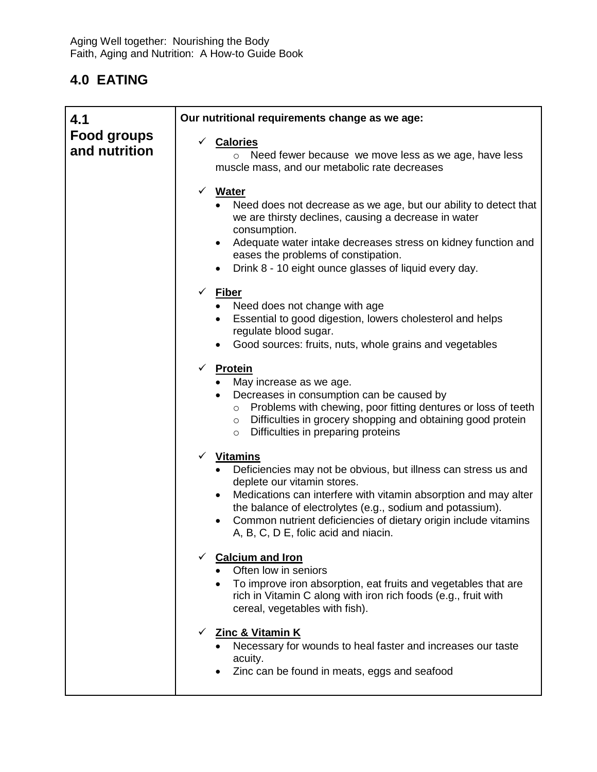| 4.1                                 | Our nutritional requirements change as we age:                                                                                                                                                                                                                                                                                                                      |
|-------------------------------------|---------------------------------------------------------------------------------------------------------------------------------------------------------------------------------------------------------------------------------------------------------------------------------------------------------------------------------------------------------------------|
| <b>Food groups</b><br>and nutrition | √ Calories<br>o Need fewer because we move less as we age, have less<br>muscle mass, and our metabolic rate decreases                                                                                                                                                                                                                                               |
|                                     | √ Water<br>• Need does not decrease as we age, but our ability to detect that<br>we are thirsty declines, causing a decrease in water<br>consumption.<br>Adequate water intake decreases stress on kidney function and<br>$\bullet$<br>eases the problems of constipation.<br>Drink 8 - 10 eight ounce glasses of liquid every day.<br>$\bullet$                    |
|                                     | $\checkmark$ Fiber<br>• Need does not change with age<br>Essential to good digestion, lowers cholesterol and helps<br>regulate blood sugar.<br>Good sources: fruits, nuts, whole grains and vegetables                                                                                                                                                              |
|                                     | ✓<br><b>Protein</b><br>• May increase as we age.<br>Decreases in consumption can be caused by<br>$\bullet$<br>Problems with chewing, poor fitting dentures or loss of teeth<br>$\circ$<br>o Difficulties in grocery shopping and obtaining good protein<br>Difficulties in preparing proteins<br>$\circ$                                                            |
|                                     | √ Vitamins<br>Deficiencies may not be obvious, but illness can stress us and<br>deplete our vitamin stores.<br>Medications can interfere with vitamin absorption and may alter<br>$\bullet$<br>the balance of electrolytes (e.g., sodium and potassium).<br>Common nutrient deficiencies of dietary origin include vitamins<br>A, B, C, D E, folic acid and niacin. |
|                                     | <b>Calcium and Iron</b><br>Often low in seniors<br>To improve iron absorption, eat fruits and vegetables that are<br>rich in Vitamin C along with iron rich foods (e.g., fruit with<br>cereal, vegetables with fish).                                                                                                                                               |
|                                     | <b>Zinc &amp; Vitamin K</b><br>$\checkmark$<br>Necessary for wounds to heal faster and increases our taste<br>acuity.<br>Zinc can be found in meats, eggs and seafood                                                                                                                                                                                               |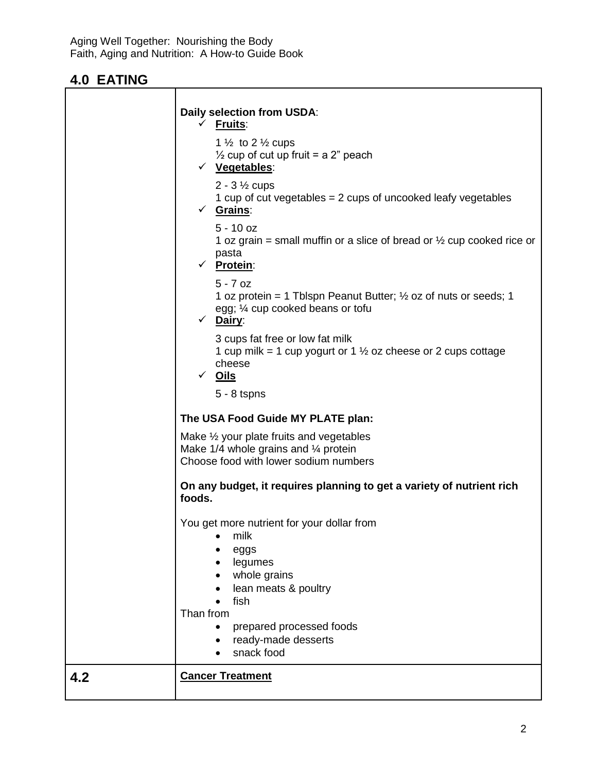$\mathsf{r}$ 

|     | Daily selection from USDA:                                                                                  |
|-----|-------------------------------------------------------------------------------------------------------------|
|     | $\checkmark$ Fruits:                                                                                        |
|     | 1 $\frac{1}{2}$ to 2 $\frac{1}{2}$ cups                                                                     |
|     | $\frac{1}{2}$ cup of cut up fruit = a 2" peach                                                              |
|     | √ Vegetables:                                                                                               |
|     | $2 - 3\frac{1}{2}$ cups                                                                                     |
|     | 1 cup of cut vegetables $= 2$ cups of uncooked leafy vegetables                                             |
|     | $\checkmark$ Grains:                                                                                        |
|     | $5 - 10$ oz                                                                                                 |
|     | 1 oz grain = small muffin or a slice of bread or $\frac{1}{2}$ cup cooked rice or                           |
|     | pasta                                                                                                       |
|     | √ Protein:                                                                                                  |
|     | $5 - 7$ oz                                                                                                  |
|     | 1 oz protein = 1 Tblspn Peanut Butter; $\frac{1}{2}$ oz of nuts or seeds; 1                                 |
|     | egg; 1/4 cup cooked beans or tofu<br>$\checkmark$ Dairy:                                                    |
|     |                                                                                                             |
|     | 3 cups fat free or low fat milk<br>1 cup milk = 1 cup yogurt or 1 $\frac{1}{2}$ oz cheese or 2 cups cottage |
|     | cheese                                                                                                      |
|     | √ <u>Oils</u>                                                                                               |
|     | $5 - 8$ tspns                                                                                               |
|     |                                                                                                             |
|     | The USA Food Guide MY PLATE plan:                                                                           |
|     | Make $\frac{1}{2}$ your plate fruits and vegetables                                                         |
|     | Make $1/4$ whole grains and $\frac{1}{4}$ protein                                                           |
|     | Choose food with lower sodium numbers                                                                       |
|     | On any budget, it requires planning to get a variety of nutrient rich                                       |
|     | foods.                                                                                                      |
|     |                                                                                                             |
|     | You get more nutrient for your dollar from<br>milk                                                          |
|     | eggs                                                                                                        |
|     | legumes                                                                                                     |
|     | whole grains                                                                                                |
|     | lean meats & poultry                                                                                        |
|     | fish                                                                                                        |
|     | Than from                                                                                                   |
|     | prepared processed foods<br>$\bullet$                                                                       |
|     | ready-made desserts<br>snack food                                                                           |
|     |                                                                                                             |
| 4.2 | <b>Cancer Treatment</b>                                                                                     |
|     |                                                                                                             |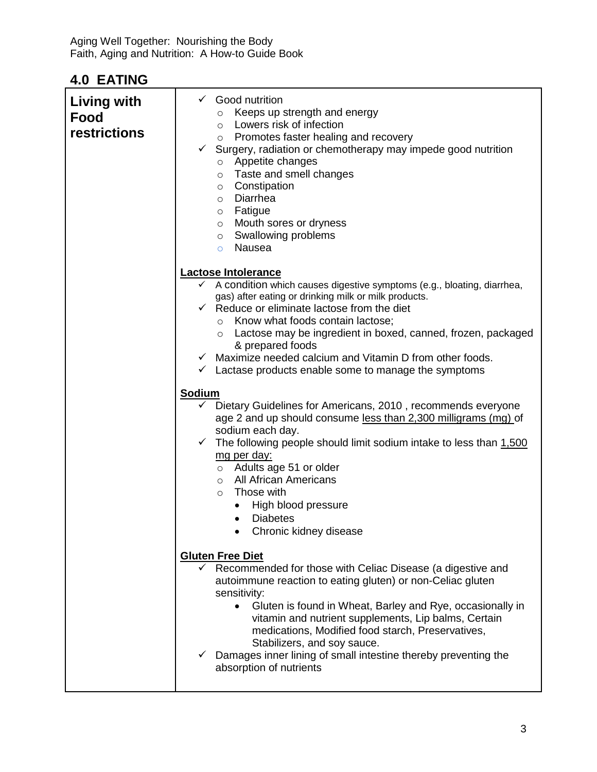| <b>Living with</b><br>Food<br>restrictions | Good nutrition<br>$\checkmark$<br>Keeps up strength and energy<br>$\circ$<br>$\circ$ Lowers risk of infection<br>o Promotes faster healing and recovery<br>Surgery, radiation or chemotherapy may impede good nutrition<br>$\checkmark$<br>o Appetite changes<br>o Taste and smell changes<br>o Constipation<br>o Diarrhea<br>$\circ$ Fatigue<br>o Mouth sores or dryness<br>$\circ$ Swallowing problems<br>Nausea<br>$\circ$ |  |
|--------------------------------------------|-------------------------------------------------------------------------------------------------------------------------------------------------------------------------------------------------------------------------------------------------------------------------------------------------------------------------------------------------------------------------------------------------------------------------------|--|
|                                            | <b>Lactose Intolerance</b><br>$\checkmark$ A condition which causes digestive symptoms (e.g., bloating, diarrhea,                                                                                                                                                                                                                                                                                                             |  |
|                                            | gas) after eating or drinking milk or milk products.<br>$\checkmark$ Reduce or eliminate lactose from the diet<br>$\circ$ Know what foods contain lactose;<br>Lactose may be ingredient in boxed, canned, frozen, packaged<br>$\circ$<br>& prepared foods                                                                                                                                                                     |  |
|                                            | $\checkmark$ Maximize needed calcium and Vitamin D from other foods.<br>$\checkmark$ Lactase products enable some to manage the symptoms                                                                                                                                                                                                                                                                                      |  |
|                                            | <b>Sodium</b><br>Dietary Guidelines for Americans, 2010, recommends everyone<br>age 2 and up should consume less than 2,300 milligrams (mg) of                                                                                                                                                                                                                                                                                |  |
|                                            | sodium each day.<br>$\checkmark$ The following people should limit sodium intake to less than 1,500<br><u>mg per day:</u><br>$\circ$ Adults age 51 or older<br>All African Americans<br>$\circ$<br>Those with<br>$\circ$<br>High blood pressure<br><b>Diabetes</b><br>$\bullet$<br>Chronic kidney disease                                                                                                                     |  |
|                                            | <b>Gluten Free Diet</b><br>$\checkmark$ Recommended for those with Celiac Disease (a digestive and<br>autoimmune reaction to eating gluten) or non-Celiac gluten<br>sensitivity:<br>Gluten is found in Wheat, Barley and Rye, occasionally in<br>$\bullet$<br>vitamin and nutrient supplements, Lip balms, Certain<br>medications, Modified food starch, Preservatives,<br>Stabilizers, and soy sauce.                        |  |
|                                            | $\checkmark$ Damages inner lining of small intestine thereby preventing the<br>absorption of nutrients                                                                                                                                                                                                                                                                                                                        |  |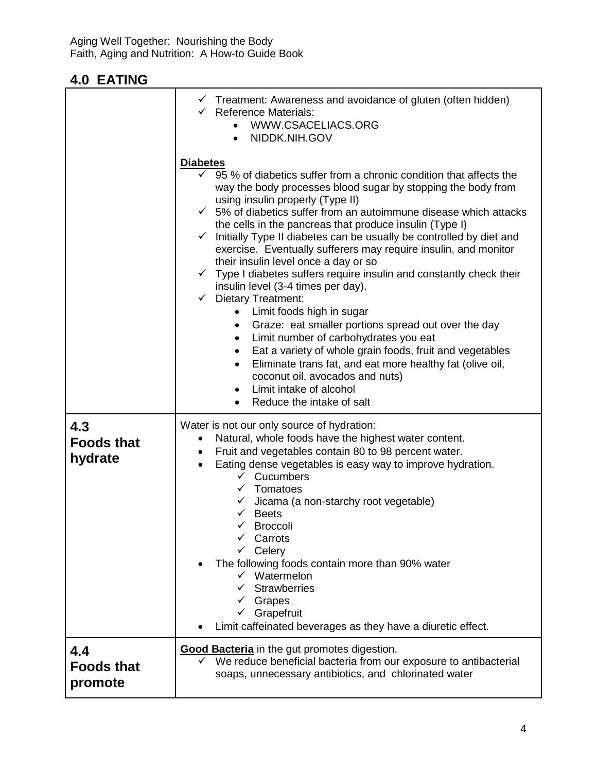|                                     | $\checkmark$ Treatment: Awareness and avoidance of gluten (often hidden)<br>$\checkmark$ Reference Materials:<br>WWW.CSACELIACS.ORG<br>NIDDK.NIH.GOV<br>$\bullet$                                                                                                                                                                                                                                                                                                                                                                                                                                                                                                                                                                                                                                                                                                                                                                                                                                                                                                                                       |  |
|-------------------------------------|---------------------------------------------------------------------------------------------------------------------------------------------------------------------------------------------------------------------------------------------------------------------------------------------------------------------------------------------------------------------------------------------------------------------------------------------------------------------------------------------------------------------------------------------------------------------------------------------------------------------------------------------------------------------------------------------------------------------------------------------------------------------------------------------------------------------------------------------------------------------------------------------------------------------------------------------------------------------------------------------------------------------------------------------------------------------------------------------------------|--|
|                                     | <b>Diabetes</b><br>95 % of diabetics suffer from a chronic condition that affects the<br>$\checkmark$<br>way the body processes blood sugar by stopping the body from<br>using insulin properly (Type II)<br>$\checkmark$ 5% of diabetics suffer from an autoimmune disease which attacks<br>the cells in the pancreas that produce insulin (Type I)<br>Initially Type II diabetes can be usually be controlled by diet and<br>$\checkmark$<br>exercise. Eventually sufferers may require insulin, and monitor<br>their insulin level once a day or so<br>$\checkmark$ Type I diabetes suffers require insulin and constantly check their<br>insulin level (3-4 times per day).<br><b>Dietary Treatment:</b><br>$\checkmark$<br>Limit foods high in sugar<br>Graze: eat smaller portions spread out over the day<br>$\bullet$<br>Limit number of carbohydrates you eat<br>$\bullet$<br>Eat a variety of whole grain foods, fruit and vegetables<br>Eliminate trans fat, and eat more healthy fat (olive oil,<br>coconut oil, avocados and nuts)<br>Limit intake of alcohol<br>Reduce the intake of salt |  |
| 4.3<br><b>Foods that</b><br>hydrate | Water is not our only source of hydration:<br>Natural, whole foods have the highest water content.<br>$\bullet$<br>Fruit and vegetables contain 80 to 98 percent water.<br>$\bullet$<br>Eating dense vegetables is easy way to improve hydration.<br>$\bullet$<br>$\checkmark$ Cucumbers<br>$\checkmark$ Tomatoes<br>Jicama (a non-starchy root vegetable)<br>$\checkmark$ Beets<br>$\checkmark$ Broccoli<br>$\checkmark$ Carrots<br>$\checkmark$ Celery<br>The following foods contain more than 90% water<br>$\checkmark$ Watermelon<br>Strawberries<br>Grapes<br>✓<br>Grapefruit<br>$\checkmark$<br>Limit caffeinated beverages as they have a diuretic effect.                                                                                                                                                                                                                                                                                                                                                                                                                                      |  |
| 4.4<br><b>Foods that</b><br>promote | <b>Good Bacteria</b> in the gut promotes digestion.<br>We reduce beneficial bacteria from our exposure to antibacterial<br>$\checkmark$<br>soaps, unnecessary antibiotics, and chlorinated water                                                                                                                                                                                                                                                                                                                                                                                                                                                                                                                                                                                                                                                                                                                                                                                                                                                                                                        |  |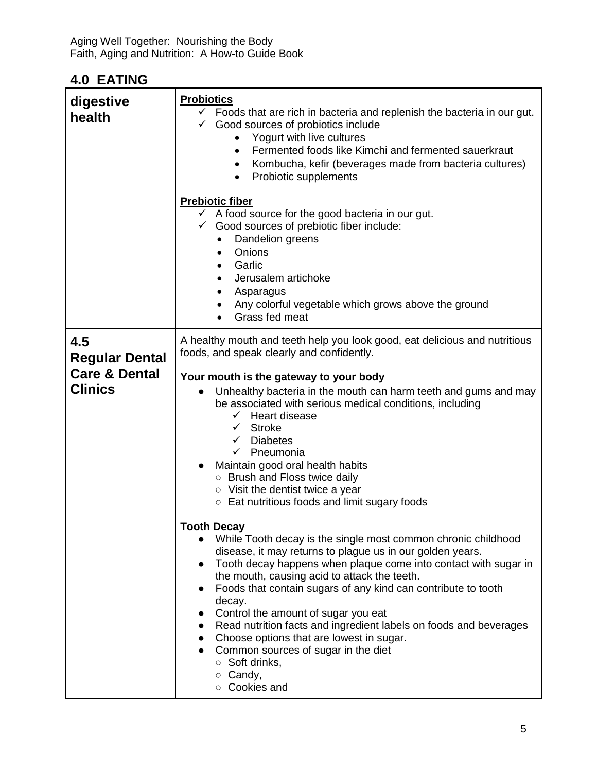| digestive<br>health                                                        | <b>Probiotics</b><br>$\checkmark$ Foods that are rich in bacteria and replenish the bacteria in our gut.<br>$\checkmark$ Good sources of probiotics include<br>Yogurt with live cultures<br>Fermented foods like Kimchi and fermented sauerkraut<br>$\bullet$<br>Kombucha, kefir (beverages made from bacteria cultures)<br>$\bullet$<br>Probiotic supplements<br>$\bullet$<br><b>Prebiotic fiber</b><br>$\checkmark$ A food source for the good bacteria in our gut.<br>$\checkmark$ Good sources of prebiotic fiber include:<br>Dandelion greens<br>$\bullet$<br>Onions<br>$\bullet$<br>Garlic<br>Jerusalem artichoke<br>٠<br>Asparagus<br>٠<br>Any colorful vegetable which grows above the ground<br>٠<br>Grass fed meat                                                                                                                                                                                                                                                                                                                                                                                                                                                                                          |  |
|----------------------------------------------------------------------------|-----------------------------------------------------------------------------------------------------------------------------------------------------------------------------------------------------------------------------------------------------------------------------------------------------------------------------------------------------------------------------------------------------------------------------------------------------------------------------------------------------------------------------------------------------------------------------------------------------------------------------------------------------------------------------------------------------------------------------------------------------------------------------------------------------------------------------------------------------------------------------------------------------------------------------------------------------------------------------------------------------------------------------------------------------------------------------------------------------------------------------------------------------------------------------------------------------------------------|--|
| 4.5<br><b>Regular Dental</b><br><b>Care &amp; Dental</b><br><b>Clinics</b> | A healthy mouth and teeth help you look good, eat delicious and nutritious<br>foods, and speak clearly and confidently.<br>Your mouth is the gateway to your body<br>Unhealthy bacteria in the mouth can harm teeth and gums and may<br>be associated with serious medical conditions, including<br>$\checkmark$ Heart disease<br>$\checkmark$ Stroke<br>$\checkmark$ Diabetes<br>$\checkmark$ Pneumonia<br>Maintain good oral health habits<br><b>O</b> Brush and Floss twice daily<br>$\circ$ Visit the dentist twice a year<br>○ Eat nutritious foods and limit sugary foods<br><b>Tooth Decay</b><br>While Tooth decay is the single most common chronic childhood<br>disease, it may returns to plague us in our golden years.<br>Tooth decay happens when plaque come into contact with sugar in<br>the mouth, causing acid to attack the teeth.<br>Foods that contain sugars of any kind can contribute to tooth<br>$\bullet$<br>decay.<br>Control the amount of sugar you eat<br>Read nutrition facts and ingredient labels on foods and beverages<br>$\bullet$<br>Choose options that are lowest in sugar.<br>Common sources of sugar in the diet<br>$\circ$ Soft drinks,<br>$\circ$ Candy,<br>O Cookies and |  |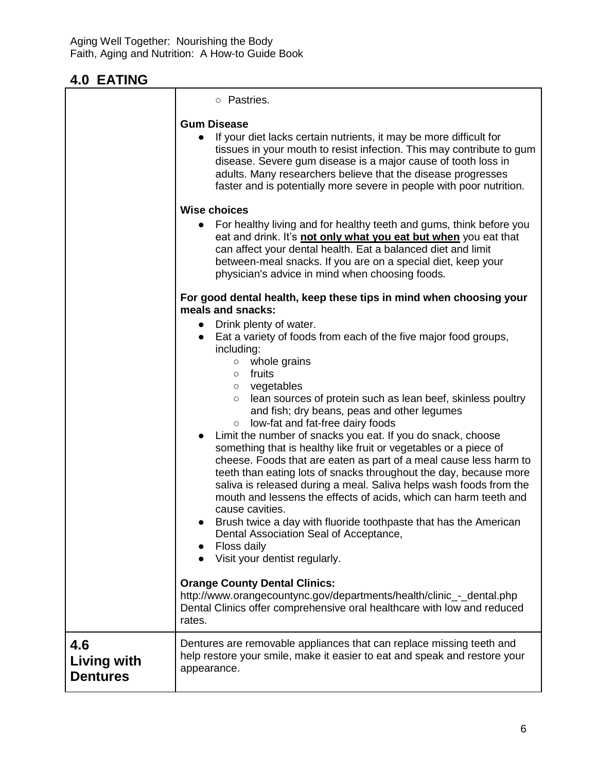|                                              | ○ Pastries.                                                                                                                                                                                                                                                                                                                                                                                                                                                                                                                                                                                                                                                                                                                                                                                                                                                                                                                                                                                                                                                     |  |  |
|----------------------------------------------|-----------------------------------------------------------------------------------------------------------------------------------------------------------------------------------------------------------------------------------------------------------------------------------------------------------------------------------------------------------------------------------------------------------------------------------------------------------------------------------------------------------------------------------------------------------------------------------------------------------------------------------------------------------------------------------------------------------------------------------------------------------------------------------------------------------------------------------------------------------------------------------------------------------------------------------------------------------------------------------------------------------------------------------------------------------------|--|--|
|                                              | <b>Gum Disease</b><br>If your diet lacks certain nutrients, it may be more difficult for<br>tissues in your mouth to resist infection. This may contribute to gum<br>disease. Severe gum disease is a major cause of tooth loss in<br>adults. Many researchers believe that the disease progresses<br>faster and is potentially more severe in people with poor nutrition.                                                                                                                                                                                                                                                                                                                                                                                                                                                                                                                                                                                                                                                                                      |  |  |
|                                              | <b>Wise choices</b><br>For healthy living and for healthy teeth and gums, think before you<br>eat and drink. It's not only what you eat but when you eat that<br>can affect your dental health. Eat a balanced diet and limit<br>between-meal snacks. If you are on a special diet, keep your<br>physician's advice in mind when choosing foods.                                                                                                                                                                                                                                                                                                                                                                                                                                                                                                                                                                                                                                                                                                                |  |  |
|                                              | For good dental health, keep these tips in mind when choosing your<br>meals and snacks:<br>Drink plenty of water.<br>$\bullet$<br>Eat a variety of foods from each of the five major food groups,<br>including:<br>whole grains<br>$\circ$<br>fruits<br>$\circ$<br>o vegetables<br>lean sources of protein such as lean beef, skinless poultry<br>$\circ$<br>and fish; dry beans, peas and other legumes<br>low-fat and fat-free dairy foods<br>$\circ$<br>Limit the number of snacks you eat. If you do snack, choose<br>something that is healthy like fruit or vegetables or a piece of<br>cheese. Foods that are eaten as part of a meal cause less harm to<br>teeth than eating lots of snacks throughout the day, because more<br>saliva is released during a meal. Saliva helps wash foods from the<br>mouth and lessens the effects of acids, which can harm teeth and<br>cause cavities.<br>Brush twice a day with fluoride toothpaste that has the American<br>Dental Association Seal of Acceptance,<br>Floss daily<br>Visit your dentist regularly. |  |  |
|                                              | <b>Orange County Dental Clinics:</b><br>http://www.orangecountync.gov/departments/health/clinic_-_dental.php<br>Dental Clinics offer comprehensive oral healthcare with low and reduced<br>rates.                                                                                                                                                                                                                                                                                                                                                                                                                                                                                                                                                                                                                                                                                                                                                                                                                                                               |  |  |
| 4.6<br><b>Living with</b><br><b>Dentures</b> | Dentures are removable appliances that can replace missing teeth and<br>help restore your smile, make it easier to eat and speak and restore your<br>appearance.                                                                                                                                                                                                                                                                                                                                                                                                                                                                                                                                                                                                                                                                                                                                                                                                                                                                                                |  |  |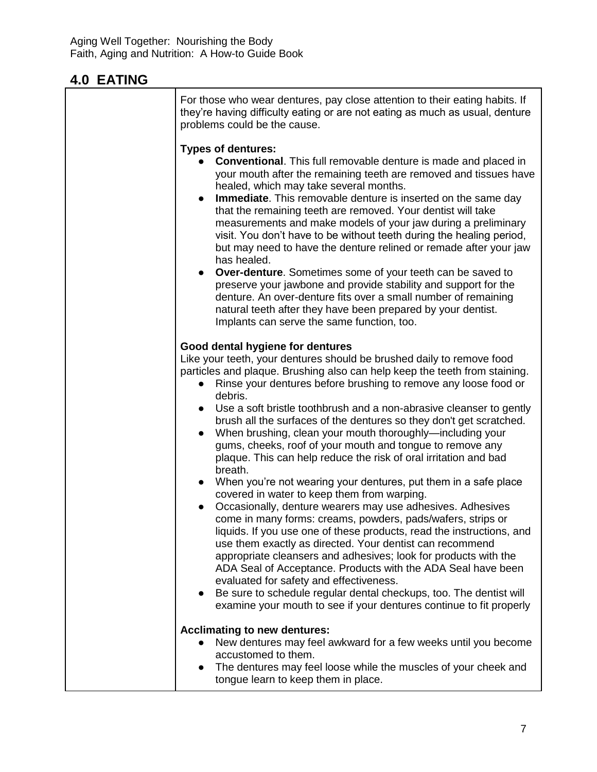| For those who wear dentures, pay close attention to their eating habits. If<br>they're having difficulty eating or are not eating as much as usual, denture<br>problems could be the cause.                                                                                                                                                                                                                                                                                                                                                                                                                                                                                                                                                                                                                                                                                                                                                                                                                                                                                                                                                                                                                                                                                                                 |  |
|-------------------------------------------------------------------------------------------------------------------------------------------------------------------------------------------------------------------------------------------------------------------------------------------------------------------------------------------------------------------------------------------------------------------------------------------------------------------------------------------------------------------------------------------------------------------------------------------------------------------------------------------------------------------------------------------------------------------------------------------------------------------------------------------------------------------------------------------------------------------------------------------------------------------------------------------------------------------------------------------------------------------------------------------------------------------------------------------------------------------------------------------------------------------------------------------------------------------------------------------------------------------------------------------------------------|--|
| <b>Types of dentures:</b><br><b>Conventional.</b> This full removable denture is made and placed in<br>your mouth after the remaining teeth are removed and tissues have<br>healed, which may take several months.<br><b>Immediate.</b> This removable denture is inserted on the same day<br>$\bullet$<br>that the remaining teeth are removed. Your dentist will take<br>measurements and make models of your jaw during a preliminary<br>visit. You don't have to be without teeth during the healing period,<br>but may need to have the denture relined or remade after your jaw<br>has healed.<br>Over-denture. Sometimes some of your teeth can be saved to<br>$\bullet$<br>preserve your jawbone and provide stability and support for the<br>denture. An over-denture fits over a small number of remaining<br>natural teeth after they have been prepared by your dentist.<br>Implants can serve the same function, too.                                                                                                                                                                                                                                                                                                                                                                          |  |
| Good dental hygiene for dentures<br>Like your teeth, your dentures should be brushed daily to remove food<br>particles and plaque. Brushing also can help keep the teeth from staining.<br>Rinse your dentures before brushing to remove any loose food or<br>debris.<br>Use a soft bristle toothbrush and a non-abrasive cleanser to gently<br>brush all the surfaces of the dentures so they don't get scratched.<br>When brushing, clean your mouth thoroughly—including your<br>$\bullet$<br>gums, cheeks, roof of your mouth and tongue to remove any<br>plaque. This can help reduce the risk of oral irritation and bad<br>breath.<br>When you're not wearing your dentures, put them in a safe place<br>$\bullet$<br>covered in water to keep them from warping.<br>Occasionally, denture wearers may use adhesives. Adhesives<br>come in many forms: creams, powders, pads/wafers, strips or<br>liquids. If you use one of these products, read the instructions, and<br>use them exactly as directed. Your dentist can recommend<br>appropriate cleansers and adhesives; look for products with the<br>ADA Seal of Acceptance. Products with the ADA Seal have been<br>evaluated for safety and effectiveness.<br>Be sure to schedule regular dental checkups, too. The dentist will<br>$\bullet$ |  |
| examine your mouth to see if your dentures continue to fit properly<br><b>Acclimating to new dentures:</b><br>New dentures may feel awkward for a few weeks until you become<br>accustomed to them.<br>The dentures may feel loose while the muscles of your cheek and<br>tongue learn to keep them in place.                                                                                                                                                                                                                                                                                                                                                                                                                                                                                                                                                                                                                                                                                                                                                                                                                                                                                                                                                                                               |  |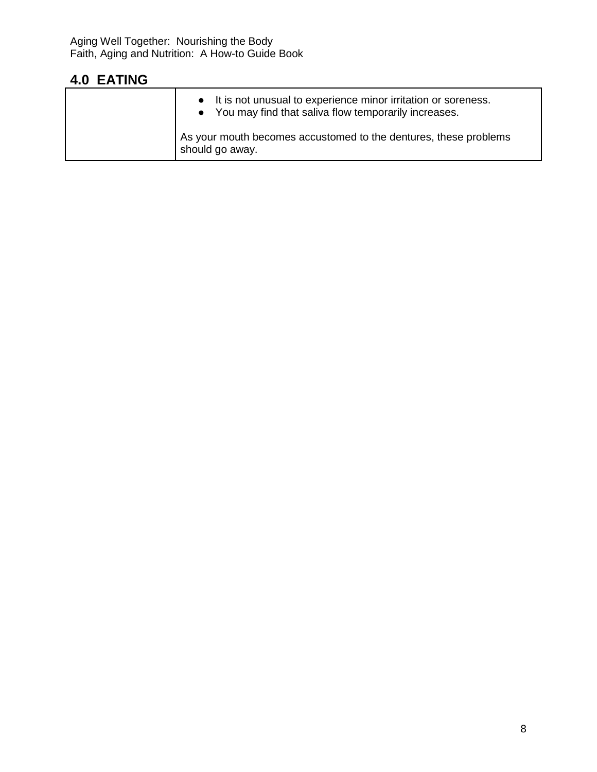| • It is not unusual to experience minor irritation or soreness.<br>• You may find that saliva flow temporarily increases. |
|---------------------------------------------------------------------------------------------------------------------------|
| As your mouth becomes accustomed to the dentures, these problems<br>should go away.                                       |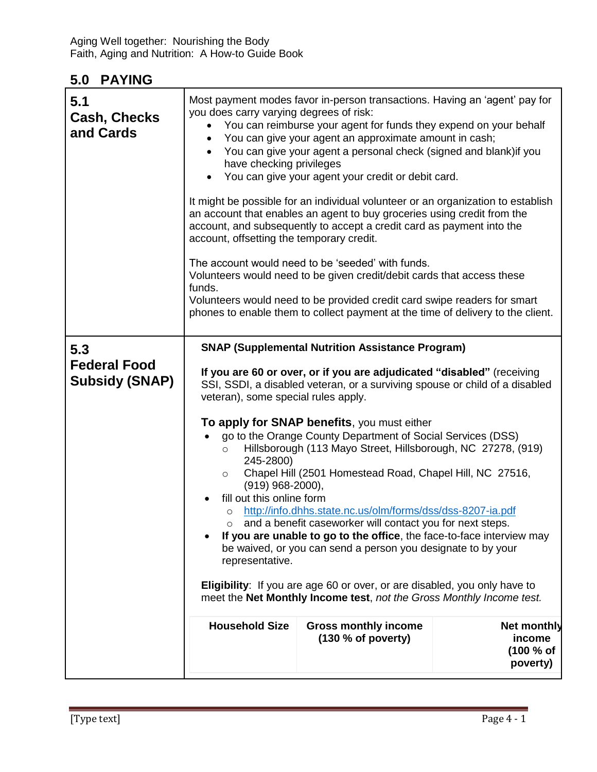| 5.1<br><b>Cash, Checks</b><br>and Cards             | Most payment modes favor in-person transactions. Having an 'agent' pay for<br>you does carry varying degrees of risk:<br>You can reimburse your agent for funds they expend on your behalf<br>$\bullet$<br>You can give your agent an approximate amount in cash;<br>$\bullet$<br>You can give your agent a personal check (signed and blank) if you<br>$\bullet$<br>have checking privileges<br>You can give your agent your credit or debit card.<br>It might be possible for an individual volunteer or an organization to establish<br>an account that enables an agent to buy groceries using credit from the<br>account, and subsequently to accept a credit card as payment into the<br>account, offsetting the temporary credit.<br>The account would need to be 'seeded' with funds.<br>Volunteers would need to be given credit/debit cards that access these<br>funds.<br>Volunteers would need to be provided credit card swipe readers for smart<br>phones to enable them to collect payment at the time of delivery to the client.           |                                                   |                                                |
|-----------------------------------------------------|------------------------------------------------------------------------------------------------------------------------------------------------------------------------------------------------------------------------------------------------------------------------------------------------------------------------------------------------------------------------------------------------------------------------------------------------------------------------------------------------------------------------------------------------------------------------------------------------------------------------------------------------------------------------------------------------------------------------------------------------------------------------------------------------------------------------------------------------------------------------------------------------------------------------------------------------------------------------------------------------------------------------------------------------------------|---------------------------------------------------|------------------------------------------------|
| 5.3<br><b>Federal Food</b><br><b>Subsidy (SNAP)</b> | <b>SNAP (Supplemental Nutrition Assistance Program)</b><br>If you are 60 or over, or if you are adjudicated "disabled" (receiving<br>SSI, SSDI, a disabled veteran, or a surviving spouse or child of a disabled<br>veteran), some special rules apply.<br>To apply for SNAP benefits, you must either<br>go to the Orange County Department of Social Services (DSS)<br>Hillsborough (113 Mayo Street, Hillsborough, NC 27278, (919)<br>$\circ$<br>245-2800)<br>Chapel Hill (2501 Homestead Road, Chapel Hill, NC 27516,<br>$\circ$<br>$(919)$ 968-2000),<br>fill out this online form<br>http://info.dhhs.state.nc.us/olm/forms/dss/dss-8207-ia.pdf<br>$\circ$<br>and a benefit caseworker will contact you for next steps.<br>O<br>If you are unable to go to the office, the face-to-face interview may<br>be waived, or you can send a person you designate to by your<br>representative.<br><b>Eligibility:</b> If you are age 60 or over, or are disabled, you only have to<br>meet the Net Monthly Income test, not the Gross Monthly Income test. |                                                   |                                                |
|                                                     | <b>Household Size</b>                                                                                                                                                                                                                                                                                                                                                                                                                                                                                                                                                                                                                                                                                                                                                                                                                                                                                                                                                                                                                                      | <b>Gross monthly income</b><br>(130 % of poverty) | Net monthly<br>income<br>(100 % of<br>poverty) |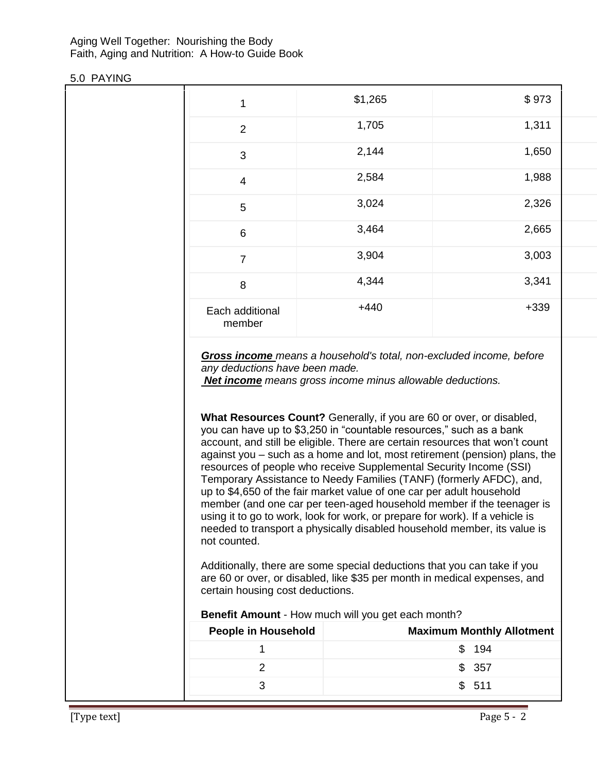Aging Well Together: Nourishing the Body Faith, Aging and Nutrition: A How-to Guide Book

#### 5.0 PAYING

| 1                         | \$1,265 | \$973  |
|---------------------------|---------|--------|
| $\overline{2}$            | 1,705   | 1,311  |
| 3                         | 2,144   | 1,650  |
| $\overline{4}$            | 2,584   | 1,988  |
| 5                         | 3,024   | 2,326  |
| $6\phantom{1}6$           | 3,464   | 2,665  |
| $\overline{7}$            | 3,904   | 3,003  |
| 8                         | 4,344   | 3,341  |
| Each additional<br>member | $+440$  | $+339$ |

*Gross income means a household's total, non-excluded income, before any deductions have been made.*

*Net income means gross income minus allowable deductions.*

**What Resources Count?** Generally, if you are 60 or over, or disabled, you can have up to \$3,250 in "countable resources," such as a bank account, and still be eligible. There are certain resources that won't count against you – such as a home and lot, most retirement (pension) plans, the resources of people who receive Supplemental Security Income (SSI) Temporary Assistance to Needy Families (TANF) (formerly AFDC), and, up to \$4,650 of the fair market value of one car per adult household member (and one car per teen-aged household member if the teenager is using it to go to work, look for work, or prepare for work). If a vehicle is needed to transport a physically disabled household member, its value is not counted.

Additionally, there are some special deductions that you can take if you are 60 or over, or disabled, like \$35 per month in medical expenses, and certain housing cost deductions.

**Benefit Amount** - How much will you get each month?

| People in Household | <b>Maximum Monthly Allotment</b> |
|---------------------|----------------------------------|
|                     | \$194                            |
|                     | \$357                            |
|                     | \$511                            |
|                     |                                  |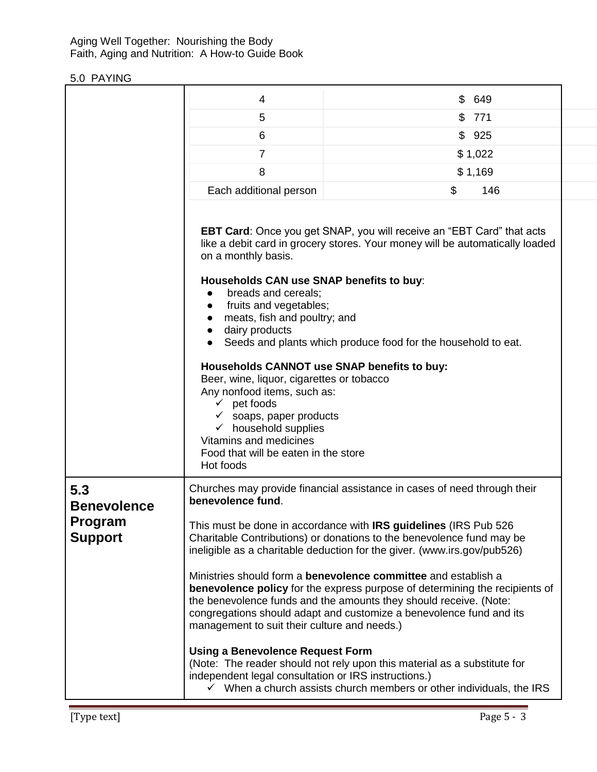#### Aging Well Together: Nourishing the Body Faith, Aging and Nutrition: A How-to Guide Book

|                                                               | 4                                                                                                                                                                                                                                                                                                                                                                                                                                                                                                                                                                                                                                                                                                                                                                                                                                                                                                                                            | \$ | 649     |
|---------------------------------------------------------------|----------------------------------------------------------------------------------------------------------------------------------------------------------------------------------------------------------------------------------------------------------------------------------------------------------------------------------------------------------------------------------------------------------------------------------------------------------------------------------------------------------------------------------------------------------------------------------------------------------------------------------------------------------------------------------------------------------------------------------------------------------------------------------------------------------------------------------------------------------------------------------------------------------------------------------------------|----|---------|
|                                                               | 5                                                                                                                                                                                                                                                                                                                                                                                                                                                                                                                                                                                                                                                                                                                                                                                                                                                                                                                                            |    | \$771   |
|                                                               | 6                                                                                                                                                                                                                                                                                                                                                                                                                                                                                                                                                                                                                                                                                                                                                                                                                                                                                                                                            |    | \$925   |
|                                                               | $\overline{7}$                                                                                                                                                                                                                                                                                                                                                                                                                                                                                                                                                                                                                                                                                                                                                                                                                                                                                                                               |    | \$1,022 |
|                                                               | 8                                                                                                                                                                                                                                                                                                                                                                                                                                                                                                                                                                                                                                                                                                                                                                                                                                                                                                                                            |    | \$1,169 |
|                                                               | Each additional person                                                                                                                                                                                                                                                                                                                                                                                                                                                                                                                                                                                                                                                                                                                                                                                                                                                                                                                       | \$ | 146     |
|                                                               | EBT Card: Once you get SNAP, you will receive an "EBT Card" that acts<br>like a debit card in grocery stores. Your money will be automatically loaded<br>on a monthly basis.<br>Households CAN use SNAP benefits to buy:<br>breads and cereals;<br>fruits and vegetables;<br>$\bullet$<br>meats, fish and poultry; and<br>dairy products<br>$\bullet$<br>Seeds and plants which produce food for the household to eat.<br>Households CANNOT use SNAP benefits to buy:<br>Beer, wine, liquor, cigarettes or tobacco<br>Any nonfood items, such as:<br>$\checkmark$ pet foods<br>$\checkmark$ soaps, paper products<br>$\checkmark$ household supplies<br>Vitamins and medicines<br>Food that will be eaten in the store<br>Hot foods                                                                                                                                                                                                          |    |         |
| 5.3<br><b>Benevolence</b><br><b>Program</b><br><b>Support</b> | Churches may provide financial assistance in cases of need through their<br>benevolence fund.<br>This must be done in accordance with IRS guidelines (IRS Pub 526<br>Charitable Contributions) or donations to the benevolence fund may be<br>ineligible as a charitable deduction for the giver. (www.irs.gov/pub526)<br>Ministries should form a benevolence committee and establish a<br><b>benevolence policy</b> for the express purpose of determining the recipients of<br>the benevolence funds and the amounts they should receive. (Note:<br>congregations should adapt and customize a benevolence fund and its<br>management to suit their culture and needs.)<br><b>Using a Benevolence Request Form</b><br>(Note: The reader should not rely upon this material as a substitute for<br>independent legal consultation or IRS instructions.)<br>$\checkmark$ When a church assists church members or other individuals, the IRS |    |         |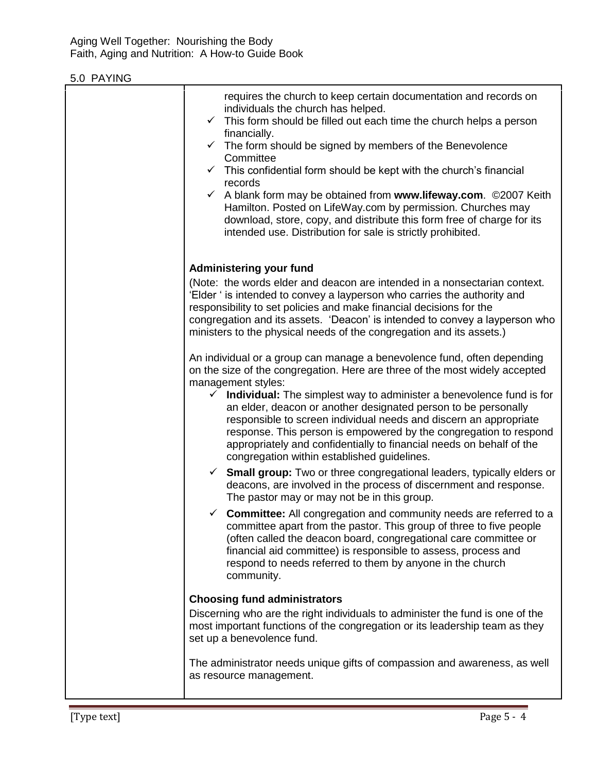| requires the church to keep certain documentation and records on<br>individuals the church has helped.<br>$\checkmark$ This form should be filled out each time the church helps a person<br>financially.<br>$\checkmark$ The form should be signed by members of the Benevolence<br>Committee<br>$\checkmark$ This confidential form should be kept with the church's financial<br>records<br>A blank form may be obtained from www.lifeway.com. ©2007 Keith<br>$\checkmark$<br>Hamilton. Posted on LifeWay.com by permission. Churches may<br>download, store, copy, and distribute this form free of charge for its<br>intended use. Distribution for sale is strictly prohibited.                                                                                                                                                                                                                                                                                                                                                   |
|-----------------------------------------------------------------------------------------------------------------------------------------------------------------------------------------------------------------------------------------------------------------------------------------------------------------------------------------------------------------------------------------------------------------------------------------------------------------------------------------------------------------------------------------------------------------------------------------------------------------------------------------------------------------------------------------------------------------------------------------------------------------------------------------------------------------------------------------------------------------------------------------------------------------------------------------------------------------------------------------------------------------------------------------|
| <b>Administering your fund</b><br>(Note: the words elder and deacon are intended in a nonsectarian context.<br>'Elder ' is intended to convey a layperson who carries the authority and<br>responsibility to set policies and make financial decisions for the<br>congregation and its assets. 'Deacon' is intended to convey a layperson who<br>ministers to the physical needs of the congregation and its assets.)<br>An individual or a group can manage a benevolence fund, often depending<br>on the size of the congregation. Here are three of the most widely accepted<br>management styles:<br>$\checkmark$<br><b>Individual:</b> The simplest way to administer a benevolence fund is for<br>an elder, deacon or another designated person to be personally<br>responsible to screen individual needs and discern an appropriate<br>response. This person is empowered by the congregation to respond<br>appropriately and confidentially to financial needs on behalf of the<br>congregation within established guidelines. |
| $\checkmark$ Small group: Two or three congregational leaders, typically elders or<br>deacons, are involved in the process of discernment and response.<br>The pastor may or may not be in this group.<br>$\checkmark$ Committee: All congregation and community needs are referred to a<br>committee apart from the pastor. This group of three to five people<br>(often called the deacon board, congregational care committee or<br>financial aid committee) is responsible to assess, process and<br>respond to needs referred to them by anyone in the church<br>community.                                                                                                                                                                                                                                                                                                                                                                                                                                                        |
| <b>Choosing fund administrators</b><br>Discerning who are the right individuals to administer the fund is one of the<br>most important functions of the congregation or its leadership team as they<br>set up a benevolence fund.<br>The administrator needs unique gifts of compassion and awareness, as well<br>as resource management.                                                                                                                                                                                                                                                                                                                                                                                                                                                                                                                                                                                                                                                                                               |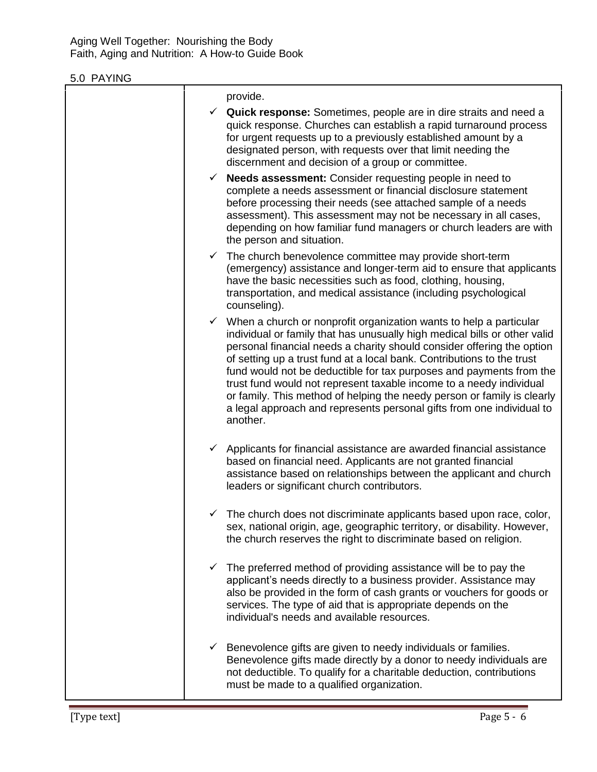|              | provide.                                                                                                                                                                                                                                                                                                                                                                                                                                                                                                                                                                                                                       |
|--------------|--------------------------------------------------------------------------------------------------------------------------------------------------------------------------------------------------------------------------------------------------------------------------------------------------------------------------------------------------------------------------------------------------------------------------------------------------------------------------------------------------------------------------------------------------------------------------------------------------------------------------------|
|              | $\checkmark$ Quick response: Sometimes, people are in dire straits and need a<br>quick response. Churches can establish a rapid turnaround process<br>for urgent requests up to a previously established amount by a<br>designated person, with requests over that limit needing the<br>discernment and decision of a group or committee.                                                                                                                                                                                                                                                                                      |
| $\checkmark$ | <b>Needs assessment:</b> Consider requesting people in need to<br>complete a needs assessment or financial disclosure statement<br>before processing their needs (see attached sample of a needs<br>assessment). This assessment may not be necessary in all cases,<br>depending on how familiar fund managers or church leaders are with<br>the person and situation.                                                                                                                                                                                                                                                         |
|              | $\checkmark$ The church benevolence committee may provide short-term<br>(emergency) assistance and longer-term aid to ensure that applicants<br>have the basic necessities such as food, clothing, housing,<br>transportation, and medical assistance (including psychological<br>counseling).                                                                                                                                                                                                                                                                                                                                 |
|              | $\checkmark$ When a church or nonprofit organization wants to help a particular<br>individual or family that has unusually high medical bills or other valid<br>personal financial needs a charity should consider offering the option<br>of setting up a trust fund at a local bank. Contributions to the trust<br>fund would not be deductible for tax purposes and payments from the<br>trust fund would not represent taxable income to a needy individual<br>or family. This method of helping the needy person or family is clearly<br>a legal approach and represents personal gifts from one individual to<br>another. |
|              | $\checkmark$ Applicants for financial assistance are awarded financial assistance<br>based on financial need. Applicants are not granted financial<br>assistance based on relationships between the applicant and church<br>leaders or significant church contributors.                                                                                                                                                                                                                                                                                                                                                        |
|              | $\checkmark$ The church does not discriminate applicants based upon race, color,<br>sex, national origin, age, geographic territory, or disability. However,<br>the church reserves the right to discriminate based on religion.                                                                                                                                                                                                                                                                                                                                                                                               |
|              | The preferred method of providing assistance will be to pay the<br>applicant's needs directly to a business provider. Assistance may<br>also be provided in the form of cash grants or vouchers for goods or<br>services. The type of aid that is appropriate depends on the<br>individual's needs and available resources.                                                                                                                                                                                                                                                                                                    |
|              | $\checkmark$ Benevolence gifts are given to needy individuals or families.<br>Benevolence gifts made directly by a donor to needy individuals are<br>not deductible. To qualify for a charitable deduction, contributions<br>must be made to a qualified organization.                                                                                                                                                                                                                                                                                                                                                         |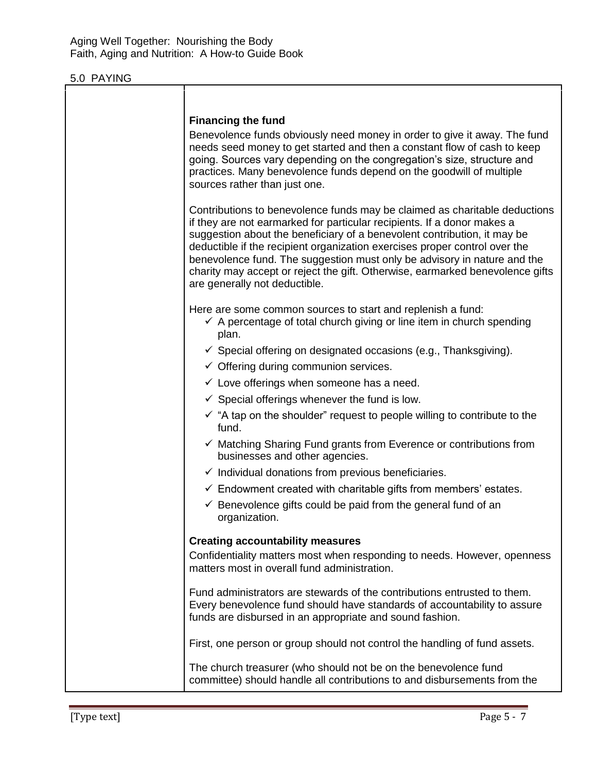| <b>Financing the fund</b><br>Benevolence funds obviously need money in order to give it away. The fund<br>needs seed money to get started and then a constant flow of cash to keep<br>going. Sources vary depending on the congregation's size, structure and<br>practices. Many benevolence funds depend on the goodwill of multiple<br>sources rather than just one.                                                                                                                                        |
|---------------------------------------------------------------------------------------------------------------------------------------------------------------------------------------------------------------------------------------------------------------------------------------------------------------------------------------------------------------------------------------------------------------------------------------------------------------------------------------------------------------|
| Contributions to benevolence funds may be claimed as charitable deductions<br>if they are not earmarked for particular recipients. If a donor makes a<br>suggestion about the beneficiary of a benevolent contribution, it may be<br>deductible if the recipient organization exercises proper control over the<br>benevolence fund. The suggestion must only be advisory in nature and the<br>charity may accept or reject the gift. Otherwise, earmarked benevolence gifts<br>are generally not deductible. |
| Here are some common sources to start and replenish a fund:<br>$\checkmark$ A percentage of total church giving or line item in church spending<br>plan.                                                                                                                                                                                                                                                                                                                                                      |
| $\checkmark$ Special offering on designated occasions (e.g., Thanksgiving).                                                                                                                                                                                                                                                                                                                                                                                                                                   |
| $\checkmark$ Offering during communion services.                                                                                                                                                                                                                                                                                                                                                                                                                                                              |
| $\checkmark$ Love offerings when someone has a need.                                                                                                                                                                                                                                                                                                                                                                                                                                                          |
| $\checkmark$ Special offerings whenever the fund is low.                                                                                                                                                                                                                                                                                                                                                                                                                                                      |
| $\checkmark$ "A tap on the shoulder" request to people willing to contribute to the<br>fund.                                                                                                                                                                                                                                                                                                                                                                                                                  |
| $\checkmark$ Matching Sharing Fund grants from Everence or contributions from<br>businesses and other agencies.                                                                                                                                                                                                                                                                                                                                                                                               |
| $\checkmark$ Individual donations from previous beneficiaries.                                                                                                                                                                                                                                                                                                                                                                                                                                                |
| $\checkmark$ Endowment created with charitable gifts from members' estates.                                                                                                                                                                                                                                                                                                                                                                                                                                   |
| $\checkmark$ Benevolence gifts could be paid from the general fund of an<br>organization.                                                                                                                                                                                                                                                                                                                                                                                                                     |
| <b>Creating accountability measures</b>                                                                                                                                                                                                                                                                                                                                                                                                                                                                       |
| Confidentiality matters most when responding to needs. However, openness<br>matters most in overall fund administration.                                                                                                                                                                                                                                                                                                                                                                                      |
| Fund administrators are stewards of the contributions entrusted to them.<br>Every benevolence fund should have standards of accountability to assure<br>funds are disbursed in an appropriate and sound fashion.                                                                                                                                                                                                                                                                                              |
| First, one person or group should not control the handling of fund assets.                                                                                                                                                                                                                                                                                                                                                                                                                                    |
| The church treasurer (who should not be on the benevolence fund<br>committee) should handle all contributions to and disbursements from the                                                                                                                                                                                                                                                                                                                                                                   |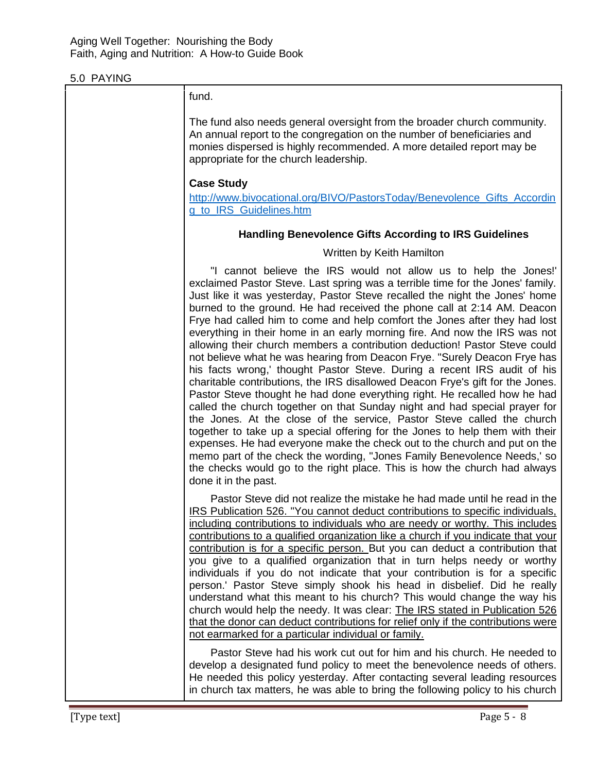| fund.                                                                                                                                                                                                                                                                                                                                                                                                                                                                                                                                                                                                                                                                                                                                                                                                                                                                                                                                                                                                                                                                                                                                                                                                                                                                                                                                                                                |
|--------------------------------------------------------------------------------------------------------------------------------------------------------------------------------------------------------------------------------------------------------------------------------------------------------------------------------------------------------------------------------------------------------------------------------------------------------------------------------------------------------------------------------------------------------------------------------------------------------------------------------------------------------------------------------------------------------------------------------------------------------------------------------------------------------------------------------------------------------------------------------------------------------------------------------------------------------------------------------------------------------------------------------------------------------------------------------------------------------------------------------------------------------------------------------------------------------------------------------------------------------------------------------------------------------------------------------------------------------------------------------------|
| The fund also needs general oversight from the broader church community.<br>An annual report to the congregation on the number of beneficiaries and<br>monies dispersed is highly recommended. A more detailed report may be<br>appropriate for the church leadership.                                                                                                                                                                                                                                                                                                                                                                                                                                                                                                                                                                                                                                                                                                                                                                                                                                                                                                                                                                                                                                                                                                               |
| <b>Case Study</b><br>http://www.bivocational.org/BIVO/PastorsToday/Benevolence_Gifts_Accordin<br>g to IRS Guidelines.htm                                                                                                                                                                                                                                                                                                                                                                                                                                                                                                                                                                                                                                                                                                                                                                                                                                                                                                                                                                                                                                                                                                                                                                                                                                                             |
| <b>Handling Benevolence Gifts According to IRS Guidelines</b>                                                                                                                                                                                                                                                                                                                                                                                                                                                                                                                                                                                                                                                                                                                                                                                                                                                                                                                                                                                                                                                                                                                                                                                                                                                                                                                        |
| Written by Keith Hamilton                                                                                                                                                                                                                                                                                                                                                                                                                                                                                                                                                                                                                                                                                                                                                                                                                                                                                                                                                                                                                                                                                                                                                                                                                                                                                                                                                            |
| "I cannot believe the IRS would not allow us to help the Jones!"<br>exclaimed Pastor Steve. Last spring was a terrible time for the Jones' family.<br>Just like it was yesterday, Pastor Steve recalled the night the Jones' home<br>burned to the ground. He had received the phone call at 2:14 AM. Deacon<br>Frye had called him to come and help comfort the Jones after they had lost<br>everything in their home in an early morning fire. And now the IRS was not<br>allowing their church members a contribution deduction! Pastor Steve could<br>not believe what he was hearing from Deacon Frye. "Surely Deacon Frye has<br>his facts wrong,' thought Pastor Steve. During a recent IRS audit of his<br>charitable contributions, the IRS disallowed Deacon Frye's gift for the Jones.<br>Pastor Steve thought he had done everything right. He recalled how he had<br>called the church together on that Sunday night and had special prayer for<br>the Jones. At the close of the service, Pastor Steve called the church<br>together to take up a special offering for the Jones to help them with their<br>expenses. He had everyone make the check out to the church and put on the<br>memo part of the check the wording, "Jones Family Benevolence Needs,' so<br>the checks would go to the right place. This is how the church had always<br>done it in the past. |
| Pastor Steve did not realize the mistake he had made until he read in the<br>IRS Publication 526. "You cannot deduct contributions to specific individuals.<br>including contributions to individuals who are needy or worthy. This includes<br>contributions to a qualified organization like a church if you indicate that your<br>contribution is for a specific person. But you can deduct a contribution that<br>you give to a qualified organization that in turn helps needy or worthy<br>individuals if you do not indicate that your contribution is for a specific<br>person.' Pastor Steve simply shook his head in disbelief. Did he really<br>understand what this meant to his church? This would change the way his<br>church would help the needy. It was clear: The IRS stated in Publication 526<br>that the donor can deduct contributions for relief only if the contributions were<br>not earmarked for a particular individual or family.<br>Pastor Steve had his work cut out for him and his church. He needed to<br>develop a designated fund policy to meet the benevolence needs of others.<br>He needed this policy yesterday. After contacting several leading resources<br>in church tax matters, he was able to bring the following policy to his church                                                                                              |